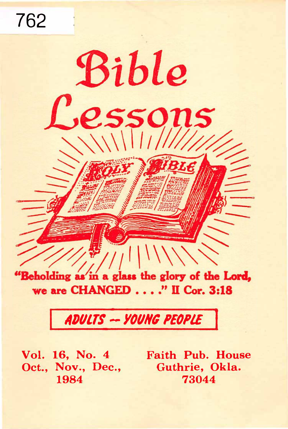762 Bible essons "Beholding as in a glass the glory of the Lord,

we are CHANGED . . . ." II Cor. 3:18

# ADULTS -- YOUNG PEOPLE

Oct., Nov., Dec., Guthrie, Okla.

Vol. 16, No. 4 Faith Pub. House 1984 73044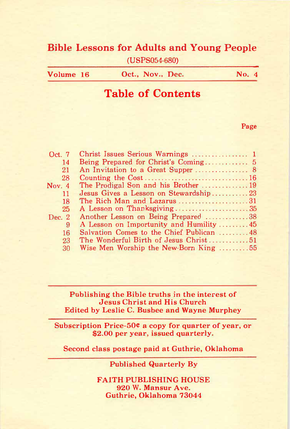# Bible Lessons for Adults and Young People

(USPS054-680)

| Volume 16 | Oct., Nov., Dec. | No. $4$ |
|-----------|------------------|---------|
|-----------|------------------|---------|

# Table of Contents

Page

| Oct. 7   | Christ Issues Serious Warnings  1                   |  |
|----------|-----------------------------------------------------|--|
| 14       | Being Prepared for Christ's Coming 5                |  |
| 21       | An Invitation to a Great Supper  8                  |  |
| 28       |                                                     |  |
| Nov. $4$ |                                                     |  |
| 11       | Jesus Gives a Lesson on Stewardship23               |  |
| 18       | The Rich Man and Lazarus 31                         |  |
| 25       |                                                     |  |
| Dec. $2$ | Another Lesson on Being Prepared 38                 |  |
| 9        | A Lesson on Importunity and Humility  45            |  |
| 16       |                                                     |  |
| 23       | The Wonderful Birth of Jesus Christ51               |  |
| 30       | Wise Men Worship the New-Born King $\dots \dots 55$ |  |

Publishing the Bible truths in the interest of Jesus Christ and His Church Edited by Leslie C. Busbee and Wayne Murphey

Subscription Price-50¢ a copy for quarter of year, or \$2.00 per year, issued quarterly.

Second class postage paid at Guthrie, Oklahoma

Published Quarterly By

FAITH PUBLISHING HOUSE 920 W. Mansur Ave. Guthrie, Oklahoma 73044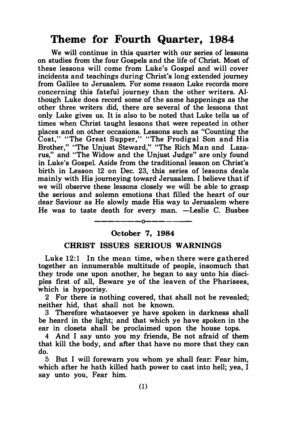# Theme for Fourth Quarter, 1984

We will continue in this quarter with our series of lessons on studies from the four Gospels and the life of Christ. Most of these lessons will come from Luke's Gospel and will cover incidents and teachings during Christ's long extended journey from Galilee to Jerusalem. For some reason Luke records more concerning this fateful journey than the other writers. Although Luke does record some of the same happenings as the other three writers did, there are several of the lessons that only Luke gives us. It is also to be noted that Luke tells us of times when Christ taught lessons that were repeated in other places and on other occasions. Lessons such as "Counting the Cost," "The Great Supper," "The Prodigal Son and His Brother," "The Unjust Steward," "The Rich Man and Lazarus," and "The Widow and the Unjust Judge" are only found in Luke's Gospel. Aside from the traditional lesson on Christ's birth in Lesson 12 on Dec. 23, this series of lessons deals mainly with His journeying toward Jerusalem. I believe that if we will observe these lessons closely we will be able to grasp the serious and solemn emotions that filled the heart of our dear Saviour as He slowly made His way to Jerusalem where He was to taste death for every man. -Leslie C. Busbee

## —————————————— October 7, 1984

#### CHRIST ISSUES SERIOUS WARNINGS

Luke 12:1 In the mean time, when there were gathered together an innumerable multitude of people, insomuch that they trode one upon another, he began to say unto his disciples first of all, Beware ye of the leaven of the Pharisees, which is hypocrisy.

2 For there is nothing covered, that shall not be revealed; neither hid, that shall not be known.

3 Therefore whatsoever ye have spoken in darkness shall be heard in the light; and that which ye have spoken in the ear in closets shall be proclaimed upon the house tops.

4 And I say unto you my friends, Be not afraid of them that kill the body, and after that have no more that they can do.

5 But I will forewarn you whom ye shall fear: Fear him, which after he hath killed hath power to cast into hell; yea, I say unto you, Fear him.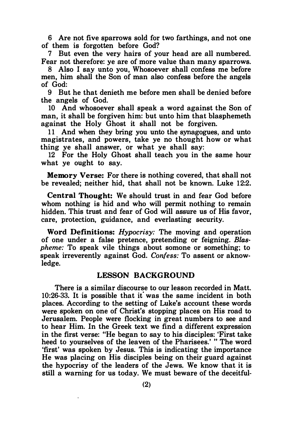6 Are not five sparrows sold for two farthings, and not one of them is forgotten before God?

7 But even the very hairs of your head are all numbered. Fear not therefore: ye are of more value than many sparrows.

8 Also I say unto you, Whosoever shall confess me before men, him shall the Son of man also confess before the angels of God:

9 But he that denieth me before men shall be denied before the angels of God.

10 And whosoever shall speak a word against the Son of man, it shall be forgiven him: but unto him that blasphemeth against the Holy Ghost it shall not be forgiven.

11 And when they bring you unto the synagogues, and unto magistrates, and powers, take ye no thought how or what thing ye shall answer, or what ye shall say:

12 For the Holy Ghost shall teach you in the same hour what ye ought to say.

Memory Verse: For there is nothing covered, that shall not be revealed; neither hid, that shall not be known. Luke 12:2.

Central Thought: We should trust in and fear God before whom nothing is hid and who will permit nothing to remain hidden. This trust and fear of God will assure us of His favor, care, protection, guidance, and everlasting security.

Word Definitions: Hypocrisy: The moving and operation of one under a false pretence, pretending or feigning. Blaspheme: To speak vile things about somone or something; to speak irreverently against God. Confess: To assent or aknowledge.

## LESSON BACKGROUND

There is a similar discourse to our lesson recorded in Matt. 10:26-33. It is possible that it was the same incident in both places. According to the setting of Luke's account these words were spoken on one of Christ's stopping places on His road to Jerusalem. People were flocking in great numbers to see and to hear Him. In the Greek text we find a different expression in the first verse: "He began to say to his disciples: 'First take heed to yourselves of the leaven of the Pharisees.' " The word 'first' was spoken by Jesus. This is indicating the importance He was placing on His disciples being on their guard against the hypocrisy of the leaders of the Jews. We know that it is still a warning for us today. We must beware of the deceitful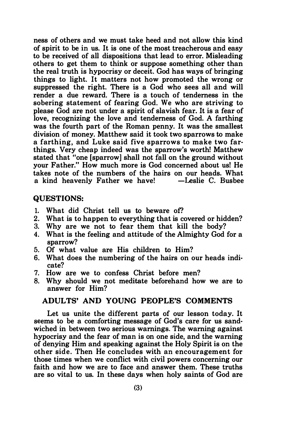ness of others and we must take heed and not allow this kind of spirit to be in us. It is one of the most treacherous and easy to be received of all dispositions that lead to error. Misleading others to get them to think or suppose something other than the real truth is hypocrisy or deceit. God has ways of bringing things to light. It matters not how promoted the wrong or suppressed the right. There is a God who sees all and will render a due reward. There is a touch of tenderness in the sobering statement of fearing God. We who are striving to please God are not under a spirit of slavish fear. It is a fear of love, recognizing the love and tenderness of God. A farthing was the fourth part of the Roman penny. It was the smallest division of money. Matthew said it took two sparrows to make a farthing, and Luke said five sparrows to make two farthings. Very cheap indeed was the sparrow's worth! Matthew stated that "one [sparrow] shall not fall on the ground without your Father." How much more is God concerned about us! He takes note of the numbers of the hairs on our heads. What a kind heavenly Father we have!

#### QUESTIONS:

- 1. What did Christ tell us to beware of?
- 2. What is to happen to everything that is covered or hidden?
- 3. Why are we not to fear them that kill the body?
- 4. What is the feeling and attitude of the Almighty God for a sparrow?
- 5. Of what value are His children to Him?
- 6. What does the numbering of the hairs on our heads indicate?
- 7. How are we to confess Christ before men?
- 8. Why should we not meditate beforehand how we are to answer for Him?

## ADULTS' AND YOUNG PEOPLE'S COMMENTS

Let us unite the different parts of our lesson today. It seems to be a comforting message of God's care for us sandwiched in between two serious warnings. The warning against hypocrisy and the fear of man is on one side, and the warning of denying Him and speaking against the Holy Spirit is on the other side. Then He concludes with an encouragement for those times when we conflict with civil powers concerning our faith and how we are to face and answer them. These truths are so vital to us. In these days when holy saints of God are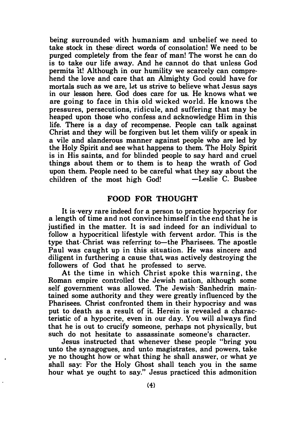being surrounded with humanism and unbelief we need to take stock in these direct words of consolation! We need to be purged completely from the fear of man! The worst he can do is to take our life away. And he cannot do that unless God permits 1t! Although in our humility we scarcely can comprehend the love and care that an Almighty God could have for mortals such as we are, let us strive to believe what Jesus says in our lesson here. God does care for us. He knows what we are going to face in this old wicked world. He knows the pressures, persecutions, ridicule, and suffering that may be heaped upon those who confess and acknowledge Him in this life. There is a day of recompense. People can talk against Christ and they will be forgiven but let them vilify or speak in a vile and slanderous manner against people who are led by the Holy Spirit and see what happens to them. The Holy Spirit is in His saints, and for blinded people to say hard and cruel things about them or to them is to heap the wrath of God upon them. People need to be careful what they say about the<br>children of the most high God! - Leslie C. Busbee children of the most high God!

## FOOD FOR THOUGHT

It is·very rare indeed for a person to practice hypocrisy for a length of time and not convince himself in the end that he is justified in the matter. It is sad indeed for an individual to follow a hypocritical lifestyle with fervent ardor. This is the type that Christ was referring to—the Pharisees. The apostle Paul was caught up in this situation. He was sincere and diligent in furthering a cause that. was actively destroying the followers of God that he professed to serve.

At the time in which Christ spoke this warning, the Roman empire controlled the Jewish nation, although some self government was allowed. The Jewish· Sanhedrin maintained some authority and they were greatly influenced by the Pharisees. Christ confronted them in their hypocrisy and was put to death as a result of it. Herein is revealed a characteristic of a hypocrite, even in our day. You will always find that he is out to crucify someone, perhaps not physically, but such do not hesitate to assassinate someone's character.

Jesus instructed that whenever these people "bring you unto the synagogues, and unto magistrates, and powers, take ye no thought how or what thing he shall answer, or what ye shall say: For the Holy Ghost shall teach you in the same hour what ye ought to say." Jesus practiced this admonition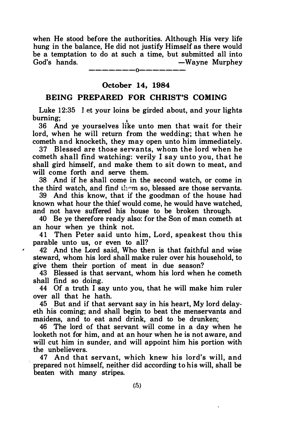when He stood before the authorities. Although His very life hung in the balance. He did not justify Himself as there would be a temptation to do at such a time, but submitted all into God's hands. - Wayne Murphey

> -------0------- October 14, 1984

## BEING PREPARED FOR CHRIST'S COMING

Luke 12:35 Let your loins be girded about, and your lights burning; •

36 And ye yourselves like unto men that wait for their lord, when he will return from the wedding; that when he cometh and knocketh, they may open unto him immediately.

37 Blessed are those servants, whom the lord when he cometh shall find watching: verily I say unto you, that he shall gird himself, and make them to sit down to meat, and will come forth and serve them.

38 And if he shall come in the second watch, or come in the third watch, and find them so, blessed are those servants.

39 And this know, that if the goodman of the house had known what hour the thief would come, he would have watched, and not have suffered his house to be broken through.

40 Be ye therefore ready also: for the Son of man cometh at an hour when ye think not.

41 Then Peter said unto him, Lord, speakest thou this parable unto us, or even to all?

42 And the Lord said, Who then is that faithful and wise steward, whom his lord shall make ruler over his household, to give them their portion of meat in due season?

 $\lambda$ 

43 Blessed is that servant, whom his lord when he cometh shall find so doing.

44 Of a truth I say unto you, that he will make him ruler over all that he hath.

45 But and if that servant say in his heart, My lord delayeth his coming; and shall begin to beat the menservants and maidens, and to eat and drink, and to be drunken;

46 The lord of that servant will come in a day when he looketh not for him, and at an hour when he is not aware, and will cut him in sunder, and will appoint him his portion with the unbelievers.

47 And that servant, which knew his lord's will, and prepared not himself, neither did according to his will, shall be beaten with many stripes.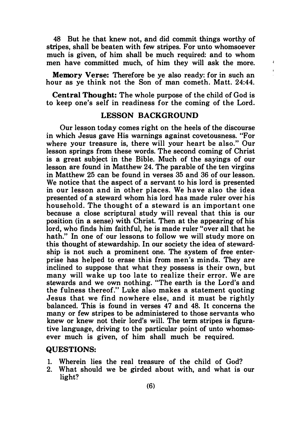48 But he that knew not, and did commit things worthy of stripes, shall be beaten with few stripes. For unto whomsoever much is given, of him shall be much required: and to whom men have committed much, of him they will ask the more.

÷  $\mathbf{r}$ 

Memory Verse: Therefore be ye also ready: for in such an hour as ye think not the Son of man cometh. Matt. 24:44.

Central Thought: The whole purpose of the child of God is to keep one's self in readiness for the coming of the Lord.

## LESSON BACKGROUND

Our lesson today comes right on the heels of the discourse in which Jesus gave His warnings against covetousness. "For where your treasure is, there will your heart be also." Our lesson springs from these words. The second coming of Christ is a great subject in the Bible. Much of the sayings of our lesson are found in Matthew 24. The parable of the ten virgins in Matthew 25 can be found in verses 35 and 36 of our lesson. We notice that the aspect of a servant to his lord is presented in our lesson and in other places. We have also the idea presented of a steward whom his lord has made ruler over his household. The thought of a steward is an important one because a close scriptural study will reveal that this is our position (in a sense) with Christ. Then at the appearing of his lord, who finds him faithful, he is made ruler "over all that he hath." In one of our lessons to follow we will study more on this thought of stewardship. In our society the idea of stewardship is not such a prominent one. The system of free enterprise has helped to erase this from men's minds. They are inclined to suppose that what they possess is their own, but many will wake up too late to realize their error. We are stewards and we own nothing. "The earth is the Lord's and the fulness thereof." Luke al�o makes a statement quoting Jesus that we find nowhere else, and it must be rightly balanced. This is found in verses 47 and 48. It concerns the many or few stripes to be administered to those servants who knew or knew not their lord's will. The term stripes is figurative language, driving to the particular point of unto whomsoever much is given, of him shall much be required.

#### QUESTIONS:

- 1. Wherein lies the real treasure of the child of God?
- 2. What should we be girded about with, and what is our light?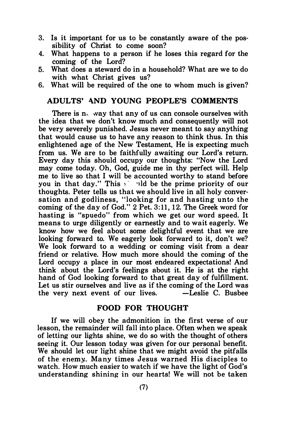- 3. Is it important for us to be constantly aware of the possibility of Christ to come soon?
- 4. What happens to a person if he loses this regard for the coming of the Lord?
- 5. What does a steward do in a household? What are we to do with what Christ gives us?
- 6. What will be required of the one to whom much is given?

## ADULTS' �ND YOUNG PEOPLE'S COMMENTS

There is n. way that any of us can console ourselves with the idea that we don't know much and consequently will not be very severely punished. Jesus never meant to say anything that would cause us to have any reason to think thus. In this enlightened age of the New Testament. He is expecting much from us. We are to be faithfully awaiting our Lord's return. Every day this should occupy our thoughts: "Now the Lord may come today. Oh. God. guide me in thy perfect will. Help me to live so that I will be accounted worthy to stand before you in that day." This  $\leq$  ld be the prime priority of our thoughts. Peter tells us that we should live in all holy conversation and godliness. "looking for and hasting unto the coming of the day of God." 2 Pet. 3:11, 12. The Greek word for behing is the day of doch  $\frac{1}{2}$  for strippen the creative form means to urge diligently or earnestly and to wait eagerly. We know how we feel about some delightful event that we are looking forward to. We eagerly look forward to it. don't we? We look forward to a wedding or coming visit from a dear friend or relative. How much more should the coming of the Lord occupy a place in our most endeared expectations! And think about the Lord's feelings about it. He is at the right hand of God looking forward to that great day of fulfillment. Let us stir ourselves and live as if the coming of the Lord was<br>the very next event of our lives. -Leslie C. Busbee the very next event of our lives.

#### FOOD FOR THOUGHT

If we will obey the admonition in the first verse of our lesson, the remainder will fall into place. Often when we speak of letting our lights shine, we do so with the thought of others seeing it. Our lesson today was given for our personal benefit. We should let our light shine that we might avoid the pitfalls of the enemy.. Many times Jesus warned His disciples to watch. How much easier to watch if we have the light of God's understanding shining in our hearts! We will not be taken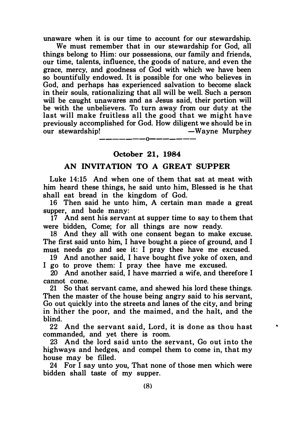unaware when it is our time to account for our stewardship.

We must remember that in our stewardship for God, all things belong to Him: our possessions, our family and friends, our time, talents, influence, the goods of nature, and even the grace, mercy, and goodness of God with which we have been so bountifully endowed. It is possible for one who believes in God, and perhaps has experienced salvation to become slack in their souls, rationalizing that all will be well. Such a person will be caught unawares and as Jesus said, their portion will be with the unbelievers. To turn away from our duty at the last will make fruitless all the good that we might have previously accomplished for God. How diligent we should be in<br>our stewardship! — Wayne Murphey -Wayne Murphey

———————————————

## October 21, 1984

## AN INVITATION TO A GREAT SUPPER

Luke 14:15 And when one of them that sat at meat with him heard these things, he said unto him, Blessed is he that shall eat bread in the kingdom of God.

16 Then said he unto him, A certain man made a great supper, and bade many:

17 And sent his servant at supper time to say to them that were bidden, Come; for all things are now ready.

18 And they all with one consent began to make excuse. The first said unto him, I have bought a piece of ground, and I must needs go and see it: I pray thee have me excused.

19 And another said, I have bought five yoke of oxen, and I go to prove them: I pray thee have me excused.

20 And another said, I have married a wife, and therefore I cannot come.

21 So that servant came, and shewed his lord these things. Then the master of the house being angry said to his servant, Go out quickly into the streets and lanes of the city, and bring in hither the poor, and the maimed, and the halt, and the blind.

22 And the servant said, Lord, it is done as thou hast commanded, and yet there is room.

23 And the lord said unto the servant, Go out into the highways and hedges, and compel them to come in, that my house may be filled.

24 For I say unto you, That none of those men which were bidden shall taste of my supper.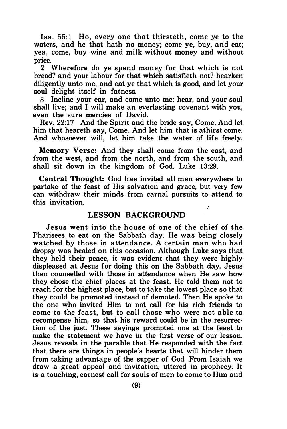Isa. 55:1 Ho, every one that thirsteth, come ve to the waters, and he that hath no money; come ye, buy, and eat; yea, come, buy wine and milk without money and without price.<br> $2 \sqrt{2}$ 

Wherefore do ye spend money for that which is not bread? and your labour for that which satisfieth not? hearken diligently unto me, and eat ye that which is good, and let your soul delight itself in fatness.

3 Incline your ear, and come unto me: hear, and your soul shall live; and I will make an everlasting covenant with you, even the sure mercies of David.

Rev. 22: 17 And the Spirit and the bride say, Come. And let him that heareth say, Come. And let him that is athirst come. And whosoever will, let him take the water of life freely.

Memory Verse: And they shall come from the east, and from the west, and from the north, and from the south, and shall sit down in the kingdom of God. Luke 13:29.

Central Thought: God has invited all men everywhere to partake of the feast of His salvation and grace, but very few can withdraw their minds from carnal pursuits to attend to this invitation. ÷,

## LESSON BACKGROUND

Jesus went into the house of one of the chief of the Pharisees to eat on the Sabbath day. He was being closely watched by those in attendance. A certain man who had dropsy was healed on this occasion. Although Luke says that they held their peace, it was evident that they were highly displeased at Jesus for doing this on the Sabbath day. Jesus then counselled with those in attendance when He saw how they chose the chief places at the feast. He told them not to reach for the highest place, but to take the lowest place so that they could be promoted instead of demoted. Then He spoke to the one who invited Him to not call for his rich friends to come to the feast, but to call those who were not able to recompense him, so that his reward could be in the resurrection of the just. These sayings prompted one at the feast to make the statement we have in the first verse of our lesson. Jesus reveals in the parable that He responded with the fact that there are things in people's hearts that will hinder them from taking advantage of the supper of God. From Isaiah we draw a great appeal and invitation, uttered in prophecy. It is a touching, earnest call for souls of men to come to Him and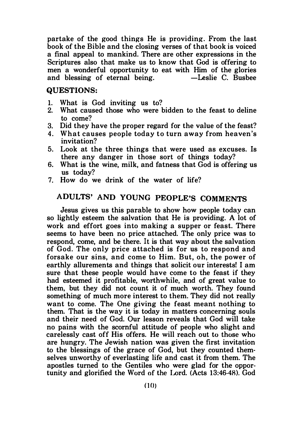partake of the good things He is providing. From the last book of the Bible and the closing verses of that book is voiced a final appeal to mankind. There are other expressions in the Scriptures also that make us to know that God is offering to men a wonderful opportunity to eat with Him of the glories<br>and blessing of eternal being.  $\qquad$  -Leslie C. Busbee and blessing of eternal being.

### QUESTIONS:

- 1. What is God inviting us to?
- What caused those who were bidden to the feast to deline to come?
- 3. Did they have the proper regard for the value of the feast?
- 4. What causes people today to turn away from heaven's invitation?
- 5. Look at the three things that were used as excuses. Is there any danger in those sort of things today?
- 6. What is the wine, milk, and fatness that God is offering us us today?
- 7. How do we drink of the water of life?

# ADULTS' AND YOUNG PEOPLE'S COMMENTS

Jesus gives us this parable to show how people today can so lightly esteem the salvation that He is providing. A lot of work and effort goes into making a supper or feast. There seems to have been no price attached. The only price was to respond, come, and be there. It is that way about the salvation of God. The only price attached is for us to respond and forsake our sins, and come to Him. But, oh, the power of earthly allurements and things that solicit our interests! I am sure that these people would have come to the feast if they had esteemed it profitable, worthwhile, and of great value to them, but they did not count it of much worth. They found something of much more interest to them. They did not really want to come. The One giving the feast meant nothing to them. That is the way it is today in matters concerning souls and their need of God. Our lesson reveals that God will take no pains with the scornful attitude of people who slight and carelessly cast off His offers. He will reach out to those who are hungry. The Jewish nation was given the first invitation to the blessings of the grace of God, but they counted themselves unworthy of everlasting life and cast it from them. The apostles turned to the Gentiles who were glad for the opportunity and glorified the Word of the Lord. (Acts 13:46-4R). God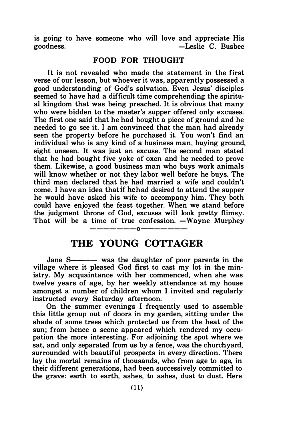is going to have someone who will love and appreciate His goodness.<br>-Leslie C. Busbee -Leslie C. Busbee

## FOOD FOR THOUGHT

It is not revealed who made the statement in the first verse of our lesson, but whoever it was, apparently possessed a good understanding of God's salvation. Even Jesus' disciples seemed to have had a difficult time comprehending the spiritual kingdom that was being preached. It is obvious that many who were bidden to the master's supper offered only excuses. The first one said that he had bought a piece of ground and he needed to go see it. I am convinced that the man had already seen the property before he purchased it. You won't find an individual who is any kind of a business man, buying ground, sight unseen. It was just an excuse. The second man stated that he had bought five yoke of oxen and he needed to prove them. Likewise, a good business man who buys work animals will know whether or not they labor well before he buys. The third man declared that he had married a wife and couldn't come. I have an idea that if he had desired to attend the supper he would have asked his wife to accompany him. They both could have enjoyed the feast together. When we stand before the judgment throne of God, excuses will look pretty flimsy. That will be a time of true confession. -Wayne Murphey

# -------0------- THE YOUNG COTTAGER

Jane S---- was the daughter of poor parents in the village where it pleased God first to cast my lot in the ministry. My acquaintance with her commenced, when she was twelve years of age, by her weekly attendance at my house amongst a number of children whom I invited and regularly instructed every Saturday afternoon.

On the summer evenings I frequently used to assemble this little group out of doors in my garden, sitting under the shade of some trees which protected us from the heat of the sun; from hence a scene appeared which rendered my occupation the more interesting. For adjoining the spot where we sat, and only separated from us by a fence, was the churchyard, surrounded with beautiful prospects in every direction. There lay the mortal remains of thousands, who from age to age, in their different generations, had been successively committed to the grave: earth to earth, ashes, to ashes, dust to dust. Here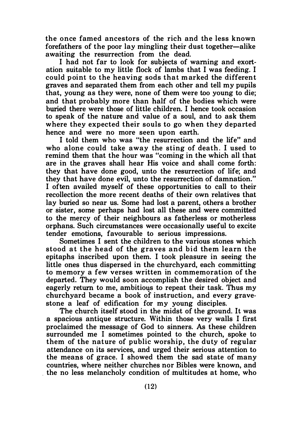the once famed ancestors of the rich and the less known forefathers of the poor lay mingling their dust together-alike awaiting the resurrection from the dead.

I had not far to look for subjects of warning and exortation suitable to my little flock of lambs that I was feeding. I could p oint to the heaving sods that m arked the different graves and separated them from each other and tell my pupils that, young as they were, none of them were too young to die; and that probably more than half of the bodies which were buried there were those of little children. I hence took occasion to speak of the nature and value of a soul, and to ask them where they expected their souls to go when they departed hence and were no more seen upon earth.

I told them who was "the resurrection and the life" and who alone could take away the sting of death. I used to remind them that the hour was "coming in the which all that are in the graves shall hear His voice and shall come forth: they that have done good, unto the resurrection of life; and they that have done evil, unto the resurrection of damnation." I often availed myself of these opportunities to call to their recollection the more recent deaths of their own relatives that lay buried so near us. Some had lost a parent, others a brother or sister, some perhaps had lost all these and were committed to the mercy of their neighbours as fatherless or motherless orphans. Such circumstances were occasionally useful to excite tender emotions, favourable to serious impressions.

Sometimes I sent the children to the various stones which stood at the head of the graves and bid them learn the epitaphs inscribed upon them. I took pleasure in seeing the little ones thus dispersed in the churchyard, each committing to memory a few verses written in commemoration of the departed. They would soon accomplish the desired object and eagerly return to me, ambitious to repeat their task. Thus my churchyard became a book of instruction, and every gravestone a leaf of edification for my young disciples.

The church itself stood in the midst of the ground. It was a spacious antique structure. Within those very walls I first proclaimed the message of God to sinners. As these children surrounded me I sometimes pointed to the church, spoke to them of the nature of public worship, the duty of regular attendance on its services, and urged their serious attention to the means of grace. I showed them the sad state of many countries, where neither churches nor Bibles were known, and . the no less melancholy condition of multitudes at home, who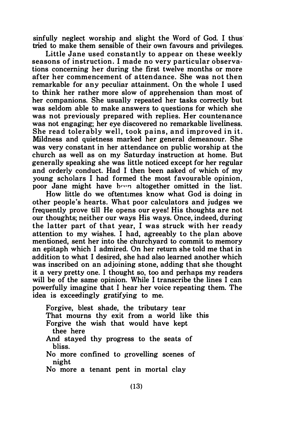sinfully neglect worship and slight the Word of God. I thus tried to make them sensible of their own favours and privileges.

Little Jane used constantly to appear on these weekly seasons of instruction. I made no very particular observations concerning her during the first twelve months or more after her commencement of atten dance. She was not then remarkable for any peculiar attainment. On the whole I used to think her rather more slow of apprehension than most of her companions. She usually repeated her tasks correctly but was seldom able to make answers to questions for which she was not previously prepared with replies. Her countenance was not engaging; her eye discovered no remarkable liveliness. She read tolerably well, took pains, and improved in it. Mildness and quietness marked her general demeanour. She was very constant in her attendance on public worship at the church as well as on my Saturday instruction at home. But generally speaking she was little noticed except for her regular and orderly conduct. Had I then been asked of which of my young scholars I had formed the most favourable opinion, poor Jane might have been altogether omitted in the list.

How little do we oftentimes know what God is doing in other people's hearts. What poor calculators and judges we frequently prove till He opens our eyes! His thoughts are not our thoughts; neither our ways His ways. Once, indeed, during the latter part of that year. I was struck with her ready attention to my wishes. I had, agreeably to the plan above mentioned, sent her into the churchyard to commit to memory an epitaph which I admired. On her return she told me that in addition to what I desired, she had also learned another which was inscribed on an adjoining stone, adding that she thought it a very pretty one. I thought so, too and perhaps my readers will be of the same opinion. While I transcribe the lines I can powerfully imagine that I hear her voice repeating them. The idea is exceedingly gratifying to me.

Forgive, blest shade, the tributary tear That mourns thy exit from a world like this Forgive the wish that would have kept thee here And stayed thy progress to the seats of bliss. No more confined to grovelling scenes of night No more a tenant pent in mortal clay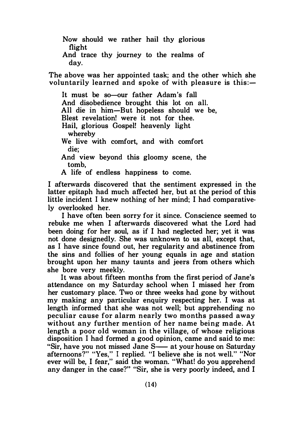Now should we rather hail thy glorious flight

And trace thy journey to the realms of day.

The above was her appointed task; and the other which she voluntarily learned and spoke of with pleasure is this:-

It must be so-our father Adam's fall And disobedience brought this lot on all. All die in him-But hopeless should we be, Blest revelation! were it not for thee. Hail, glorious Gospel! heavenly light whereby We live with comfort, and with comfort die; And view beyond this gloomy scene, the tomb,

A life of endless happiness to come.

I afterwards discovered that the sentiment expressed in the latter epitaph had much affected her, but at the period of this little incident I knew nothing of her mind; I had comparatively overlooked her.

I have often been sorry for it since. Conscience seemed to rebuke me when I afterwards discovered what the Lord had been doing for her soul, as if I had neglected her; yet it was not done designedly. She was unknown to us all, except that, as I have since found out, her regularity and abstinence from the sins and follies of her young equals in age and station brought upon her many taunts and jeers from others which she bore very meekly.

It was about fifteen months from the first period of Jane's attendance on my Saturday school when I missed her from her customary place. Two or three weeks had gone by without my making any particular enquiry respecting her. I was at length informed that she was not well; but apprehending no peculiar cause for alarm n early two months passed away without any further mention of her name being made. At length a poor old woman in the village, of whose religious disposition I had formed a good opinion, came and said to me: "Sir, have you not missed Jane S-at your house on Saturday" afternoons?" "Yes," I replied. "I believe she is not well." "Nor ever will be, I fear," said the woman. "What! do you apprehend any danger in the case?" "Sir, she is very poorly indeed, and I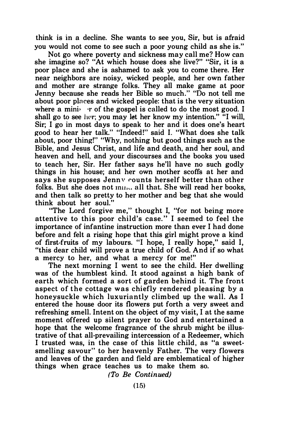think is in a decline. She wants to see you, Sir, but is afraid you would not come to see such a poor young child as she is."

Not go where poverty and sickness may call me? How can she imagine so? "At which house does she live?" "Sir, it is a poor place and she is ashamed to ask you to come there. Her near neighbors are noisy, wicked people, and her own father and mother are strange folks. They all make game at poor Jenny because she reads her Bible so much." "Do not tell me about poor places and wicked people: that is the very situation where a mini $\cdot$  r of the gospel is called to do the most good. I shall go to see her; you may let her know my intention." "I will, Sir; I go in most days to speak to her and it does one's heart good to hear her talk." "Indeed!" said I. "What does she talk about, poor thing!" "Why, nothing but good things such as the Bible, and Jesus Christ, and life and death, and her soul, and heaven and hell, and your discourses and the books you used to teach her, Sir. Her father says he'll have no such godly things in his house; and her own mother scoffs at her and says she supposes Jennv rounts herself better than other folks. But she does not  $mu_{11}$  all that. She will read her books, and then talk so pretty to her mother and beg that she would think about her soul."

"The Lord forgive me," thought I, "for not being more attentive to this poor child's case." I seemed to feel the importance of infantine instruction more than ever I had done before and felt a rising hope that this girl might prove a kind of first-fruits of my labours. "I hope, I really hope," said I, "this dear child will prove a true child of God. And if so what a mercy to her, and what a mercy for me!"

The next morning I went to see the child. Her dwelling was of the humblest kind. It stood against a high bank of earth which formed a sort of garden behind it. The front aspect of the cottage was chiefly rendered pleasing by a honeysuckle which luxuriantly climbed up the wall. As I entered the house door its flowers put forth a very sweet and refreshing smell. Intent on the object of my visit, I at the same moment offered up silent prayer to God and entertained a hope that the welcome fragrance of the shrub might be illustrative of that all-prevailing intercession of a Redeemer, which I trusted was, in the case of this little child, as "a sweetsmelling savour" to her heavenly Father. The very flowers and leaves of the garden and field are emblematical of higher things when grace teaches us to make them so.

(To Be Continued)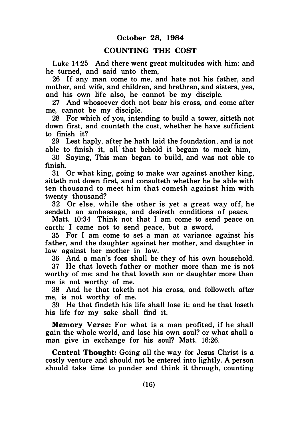## COUNTING THE COST

Luke 14:25 And there went great multitudes with him: and he turned, and said unto them,

26 If any man come to me, and hate not his father, and mother, and wife, and children, and brethren, and sisters, yea, and his own life also, he cannot be my disciple.

27 And whosoever doth not bear his cross, and come after me, cannot be my disciple.

28 For which of you, intending to build a tower, sitteth not down first, and counteth the cost, whether he have sufficient to finish it?

29 Lest haply, after he hath laid the foundation, and is not able to finish it, all that behold it begain to mock him,

30 Saying, This man began to build, and was not able to finish.

31 Or what king, going to make war against another king, sitteth not down first, and consulteth whether he be able with ten thousand to meet him that cometh against him with twenty thousand?

32 Or else, while the other is yet a great way off, he sendeth an ambassage, and desireth conditions of peace.

Matt. 10:34 Think not that I am come to send peace on earth: I came not to send peace, but a sword.

35 For I am come to set a man at variance against his father, and the daughter against her mother, and daughter in law against her mother in law.

36 And a man's foes shall be they of his own household.

37 He that loveth father or mother more than me is not worthy of me: and he that loveth son or daughter more than me is not worthy of me.

38 And he that taketh not his cross, and followeth after me, is not worthy of me.

39 He that findeth his life shall lose it: and he that loseth his life for my sake shall find it.

Memory Verse: For what is a man profited, if he shall gain the whole world, and lose his own soul? or what shall a man give in exchange for his soul? Matt. 16:26.

Central Thought: Going all the way for Jesus Christ is a costly venture and should not be entered into lightly. A person should take time to ponder and think it through, counting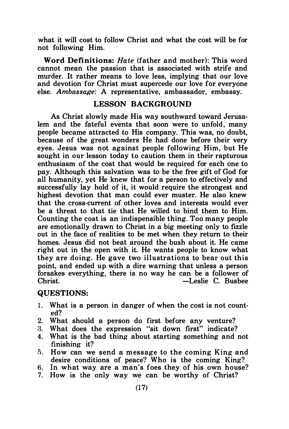what it will cost to follow Christ and what the cost will be for not following Him.

Word Definitions: Hate (father and mother): This word cannot mean the passion that is associated with strife and murder. It rather means to love less, implying that our love and devotion for Christ must supercede our love for everyone else. Ambassage: A representative, ambassador, embassy.

## LESSON BACKGROUND

As Christ slowly made His way southward toward Jerusalem and the fateful events that soon were to unfold, many people became attracted to His company. This was, no doubt, because of the great wonders He had done before their very eyes. Jesus was not against people following Him, but He sought in our lesson today to caution them in their rapturous enthusiasm of the cost that would be required for each one to pay. Although this salvation was to be the free gift of God for all humanity, yet He knew that for a person to effectively and successfully lay hold of it, it would require the strongest and highest devotion that man could ever muster. He also knew that the cross-current of other loves and interests would ever be a threat to that tie that He willed to bind them to Him. Counting the cost is an indispensible thing. Too many people are emotionally drawn to Christ in a big meeting only to fizzle out in the face of realities to be met when they return to their homes. Jesus did not beat around the bush about it. He came right out in the open with it. He wants people to know what they are doing. He gave two illustrations to bear out this point, and ended up with a dire warning that unless a person forsakes everything, there is no way he can be a follower of -Leslie C. Bushee

## QUESTIONS:

- 1. What is a person in danger of when the cost is not counted?
- 2. What should a person do first before any venture?
- 3. What does the expression "sit down first" indicate?
- 4. What is the bad thing about starting something and not finishing it?
- fi. How can we send a m essage to the coming King and desire conditions of peace'? Who is the coming King?
- 6. In what way are a man's foes they of his own house?
- 7. How is the only way we can be worthy of Christ?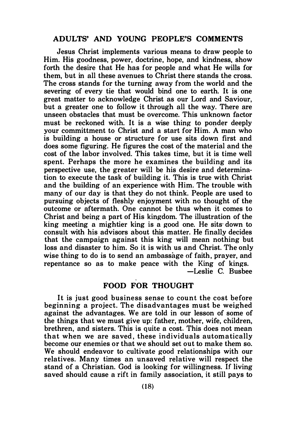## ADULTS' AND YOUNG PEOPLE'S COMMENTS

Jesus Christ implements various means to draw people to Him. His goodness, power, doctrine, hope, and kindness, show forth the desire that He has for people and what He wills for them, but in all these avenues to Christ there stands the cross. The cross stands for the turning away from the world and the severing of every tie that would bind one to earth. It is one great matter to acknowledge Christ as our Lord and Saviour, but a greater one to follow it through all the way. There are unseen obstacles that must be overcome. This unknown factor must be reckoned with. It is a wise thing to ponder deeply your committment to Christ and a start for Him. A man who is building a house or structure for use sits down first and does some figuring. He figures the cost of the material and the cost of the labor involved. This takes time, but it is time well spent. Perhaps the more he examines the building and its perspective use, the greater will be his desire and determination to execute the task of building it. This is true with Christ and the building of an experience with Him. The trouble with many of our day is that they do not think. People are used to pursuing objects of fleshly enjoyment with no thought of the outcome or aftermath. One cannot be thus when it comes to Christ and being a part of His kingdom. The illustration of the king meeting a mightier king is a good one. He sits· down to consult with his advisors about this matter. He finally decides that the campaign against this king will mean nothing but loss and disaster to him. So it is with us and Christ. The only wise thing to do is to send an ambassage of faith, prayer, and repentance so as to make peace with the King of kings. -Leslie C. Busbee

## FOOD FOR THOUGHT

It is just good business sense to count the cost before beginning a project. The disadvantages must be weighed against the advantages. We are told in our lesson of some of the things that we must give up: father, mother, wife, children, brethren, and sisters. This is quite a cost. This does not mean that when we are saved , these individuals automatically become our enemies or that we should set out to make them so. We should endeavor to cultivate good relationships with our relatives. Many times an unsaved relative will respect the stand of a Christian. God is looking for willingness. If living saved should cause a rift in family association, it still pays to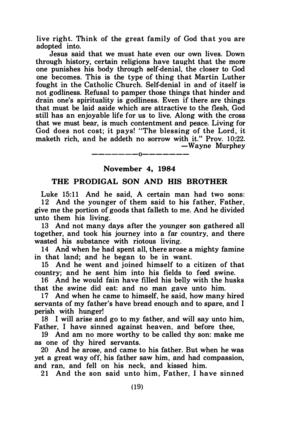live right. Think of the great family of God that you are adopted into.

Jesus said that we must hate even our own lives. Down through history, certain religions have taught that the more one punishes his body through self-denial, the closer to God one becomes. This is the type of thing that Martin Luther fought in the Catholic Church. Self-denial in and of itself is not godliness. Refusal to pamper those things that hinder and drain one's spirituality is godliness. Even if there are things that must be laid aside which are attractive to the flesh, God still has an enjoyable life for us to live. Along with the cross that we must bear, is much contentment and peace. Living for God does not cost; it pays! "The blessing of the Lord, it maketh rich, and he addeth no sorrow with it." Prov. 10:22. -Wayne Murphey

# -------0------- November 4, 1984

## THE PRODIGAL SON AND HIS BROTHER

Luke 15:11 And he said, A certain man had two sons: 12 And the younger of them said to his father, Father, give me the portion of goods that falleth to me. And he divided unto them his living.

13 And not many days after the younger son gathered all together, and took his journey into a far country, and there wasted his substance with riotous living.

14 And when he had spent all, there arose a mighty famine in that land; and he began to be in want.

15 And he went and joined himself to a citizen of that country; and he sent him into his fields to feed swine.

16 And he would fain have filled his belly with the husks that the swine did eat: and no man gave unto him.

17 And when he came to himself, he said, how many hired servants of my father's have bread enough and to spare, and I perish with hunger!

18 I will arise and go to my father, and will say unto him, Father, I have sinned against heaven, and before thee,

19 And am no more worthy to be called thy son: make me as one of thy hired servants.

20 And he arose, and came to his father. But when he was yet a great way off, his father saw him, and had compassion, and ran, and fell on his neck, and kissed him.

21 And the son said unto him, Father, I have sinned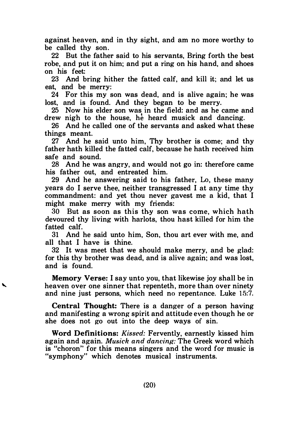against heaven, and in thy sight, and am no more worthy to be called thy son.

22 But the father said to his servants, Bring forth the best robe, and put it on him; and put a ring on his hand, and shoes on his feet:

23 And bring hither the fatted calf, and kill it; and let us eat, and be merry:

24 For this my son was dead, and is alive again; he was lost, and is found. And they began to be merry.

25 Now his elder son was in the field: and as he came and drew nigh to the house, he heard musick and dancing.

26 And he called one of the servants and asked what these things meant.

27 And he said unto him, Thy brother is come; and thy father hath killed the fatted calf, because he hath received him safe and sound.

28 And he was angry, and would not go in: therefore came his father out, and entreated him.

29 And he answering said to his father, Lo, these many years do I serve thee, neither transgressed I at any time thy commandment: and yet thou never gavest me a kid, that I might make merry with my friends:

30 But as soon as this thy son was come, which hath devoured thy living with harlots, thou hast killed for him the fatted calf.

31 And he said unto him, Son, thou art ever with me, and all that I have is thine.

32 It was meet that we should make merry, and be glad: for this thy brother was dead, and is alive again; and was lost, and is found.

Memory Verse: I say unto you, that likewise joy shall be in heaven over one sinner that repenteth, more than over ninety and nine just persons, which need no repentance. Luke 15:7.

Central Thought: There is a danger of a person having and manifesting a wrong spirit and attitude even though he or she does not go out into the deep ways of sin.

Word Definitions: Kissed: Fervently, earnestly kissed him again and again. Musick and dancing: The Greek word which is "choron" for this means singers and the word for music is "symphony" which denotes musical instruments.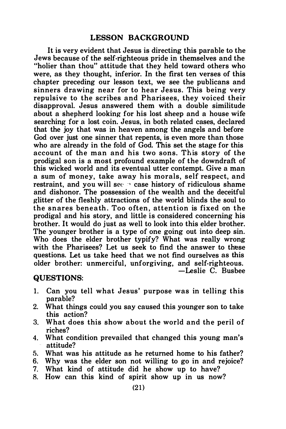## LESSON BACKGROUND

It is very evident that Jesus is directing this parable to the Jews because of the self-righteous pride in themselves and the "holier than thou" attitude that they held toward others who were, as they thought, inferior. In the first ten verses of this chapter preceding our lesson text, we see the publicans and sinners drawing near for to hear Jesus. This being very repulsive to the scribes and Pharisees, they voiced their disapproval. Jesus answered them with a double similitude about a shepherd looking for his lost sheep and a house wife searching for a lost coin. Jesus, in both related cases, declared that the joy that was in heaven among the angels and before God over just one sinner that repents, is even more than those who are already in the fold of God. This set the stage for this account of the man and his two sons. This story of the prodigal son is a most profound example of the downdraft of this wicked world and its eventual utter contempt. Give a man a sum of money, take away his morals, self respect, and restraint, and you will see case history of ridiculous shame and dishonor. The possession of the wealth and the deceitful glitter of the fleshly attractions of the world blinds the soul to the snares beneath. Too often, attention is fixed on the prodigal and his story, and little is considered concerning his brother. It would do just as well to look into this elder brother. The younger brother is a type of one going out into deep sin. Who does the elder brother typify? What was really wrong with the Pharisees? Let us seek to find the answer to these questions. Let us take heed that we not find ourselves as this older brother: unmerciful, unforgiving, and self-righteous. -Leslie C. Busbee

#### QUESTIONS:

- 1. Can you tell what Jesus' purpose was in telling this parable?
- 2. What things could you say caused this younger son to take this action?
- 3. What does this show about the world and the peril of riches?
- 4. What condition prevailed that changed this young man's attitude?
- 5. What was his attitude as he returned home to his father?
- 6. Why was the elder son not willing to go in and rejoice?
- 7. What kind of attitude did he show up to have?
- 8. How can this kind of spirit show up in us now?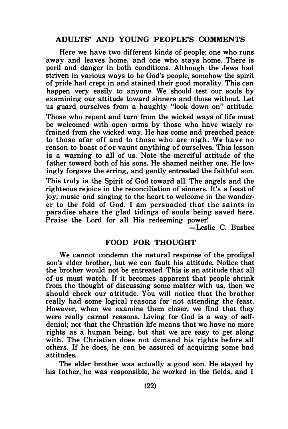## ADULTS' AND YOUNG PEOPLE'S COMMENTS

Here we have two different kinds of people: one who runs away and leaves home, and one who stays home. There is peril and danger in both conditions. Although the Jews had striven in various ways to be God's people, somehow the spirit of pride had crept in and stained their good morality. This can happen very easily to anyone. We should test our souls by examining our attitude toward sinners and those without. Let us guard ourselves from a haughty "look down on" attitude. Those who repent and turn from the wicked ways of life must be welcomed with open arms by those who have wisely refrained from the wicked way. He has come and preached peace to those afar off and to those who are nigh. We have no reason to boast of or vaunt anything of ourselves. This lesson is a warning to all of us. Note the merciful attitude of the father toward both of his sons. He shamed neither one. He lovingly forgave the erring, and gently entreated the faithful son.

This truly is the Spirit of God toward all. The angels and the righteous rejoice in the reconciliation of sinners. It's a feast of joy, music and singing to the heart to welcome in the wanderer to the fold of God. I am persuaded that the saints in paradise share the glad tidings of souls being saved here. Praise the Lord for all His redeeming power!

-Leslie C. Busbee

## FOOD FOR THOUGHT

We cannot condemn the natural response of the prodigal son's elder brother, but we can fault his attitude. Notice that the brother would not be entreated. This is an attitude that all of us must watch. If it becomes apparent that people shrink from the thought of discussing some matter with us, then we should check our attitude. You will notice that the brother really had some logical reasons for not attending the feast. However, when we examine them closer, we find that they were really carnal reasons. Living for God is a way of selfdenial; not that the Christian life means that we have no more rights as a human being, but that we are easy to get along with. The Christian does not demand his rights before all others. If he does, he can be assured of acquiring some bad attitudes.

The elder brother was actually a good son. He stayed by his father, he was responsible, he worked in the fields, and I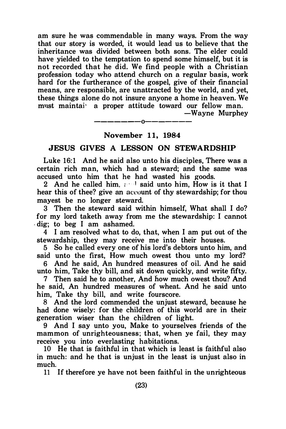am sure he was commendable in many ways. From the way that our story is worded, it would lead us to believe that the inheritance was divided between both sons. The elder could have yielded to the temptation to spend some himself, but it is not recorded that he did. We find people with a Christian profession today who attend church on a regular basis, work hard for the furtherance of the gospel, give of their financial means, are responsible, are unattracted by the world, and yet, these things alone do not insure anyone a home in heaven. We must maintai<sup>·</sup> a proper attitude toward our fellow man.

-Wayne Murphey

———————————————

## November 11, 1984

## JESUS GIVES A LESSON ON STEWARDSHIP

Luke 16:1 And he said also unto his disciples, There was a certain rich man, which had a steward; and the same was accused unto him that he had wasted his goods.

2 And he called him,  $\cdots$  said unto him. How is it that I hear this of thee? give an account of thy stewardship; for thou mayest be no longer steward.

3 Then the steward said within himself, What shall I do? for my lord taketh away from me the stewardship: I cannot · dig; to beg I am ashamed.

4 I am resolved what to do, that, when I am put out of the stewardship, they may receive me into their houses.

5 So he called every one of his lord's debtors unto him, and said unto the first, How much owest thou unto my lord?

6 And he said, An hundred measures of oil. And he said unto him, Take thy bill, and sit down quickly, and write fifty.

7 Then said he to another, And how much owest thou? And he said, An hundred measures of wheat. And he said unto him, Take thy bill, and write fourscore.

8 And the lord commended the unjust steward, because he had done wisely: for the children of this world are in their generation wiser than the children of light.

9 And I say unto you, Make to yourselves friends of the mammon of unrighteousness; that, when ye fail, they may receive you into everlasting habitations.

10 He that is faithful in that which is least is faithful also in much: and he that is unjust in the least is unjust also in much.

11 If therefore ye have not been faithful in the unrighteous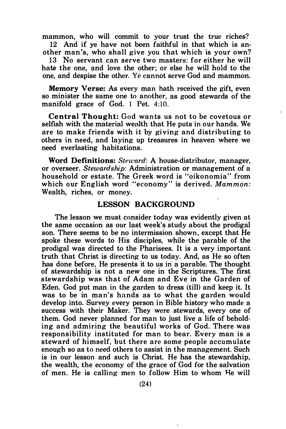mammon, who will commit to your trust the true riches?

12 And if ye have not been faithful in that which is another man's, who shall give you that which is your own?

13 No servant can serve two masters: for either he will hate the one, and love the other; or else he will hold to the one, and despise the other. Ye cannot serve God and mammon.

Memory Verse: As every man hath received the gift, even so minister the same one to another, as good stewards of the manifold grace of God. 1 Pet. 4:10.

Central Thought: God wants us not to be covetous or selfish with the material wealth that He puts in our hands. We are to make friends with it by giving and distributing to others in need, and laying up treasures in heaven where we need everlasting habitations.

Word Definitions: Steward: A house-distributor, manager, or overseer. Stewardship: Administration or management of a household or estate. The Greek word is "oikonomia" from which our English word "economy" is derived. Mammon: Wealth, riches, or money.

## LESSON BACKGROUND

The lesson we must consider today was evidently given at the same occasion as our last week's study about the prodigal son. There seems to be no intermission shown, except that He spoke these words to His disciples, while the parable of the prodigal was directed to the Pharisees. It is a very important truth that Christ is directing to us today. And, as He so often has done before, He presents it to us in a parable. The thought of stewardship is not a new one in the Scriptures. The first stewardship wa� that of Adam and Eve in the Garden of Eden. God put man in the garden to dress (till) and keep it. It was to be in man's hands as to what the garden would develop into. Survey every person in Bible history who made a success with their Maker. They were stewards, every one of them. God never planned for man to just live a life of beholding and admiring the beautiful works of God. There . was responsibility instituted for man to bear. Every man is a steward of himself, but there are some people accumulate enough so as to need others to assist in the management. Such is in our lesson and such is Christ. He has the stewardship, the wealth, the economy of the grace of God for the salvation of men. He is calling men to follow Him to whom He will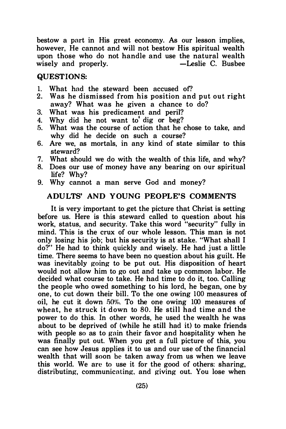bestow a part in His great economy. As our lesson implies, however, He cannot and will not bestow His spiritual wealth upon those who do not handle and use the natural wealth<br>wisely and properly.  $\begin{array}{c} -\text{Leslie C. Busbee} \end{array}$ wisely and properly.

## QUEST IONS:

- 1. What had the steward been accused of?<br>2. Was he dismissed from his position and
- Was he dismissed from his position and put out right away? What was he given a chance to do?
- 3. What was his predicament and peril?
- 4. Why did he not want to dig or beg?<br>5. What was the course of action that he
- What was the course of action that he chose to take, and why did he decide on such a course?
- 6. Are we, as mortals, in any kind of state similar to this steward?
- 7. What should we do with the wealth of this life, and why?
- 8. Does our use of money have any bearing on our spiritual life? Why?
- 9. Why cannot a man serve God and money?

#### ADULTS' AND YOUNG PEOPLE'S COMMENTS

It is very important to get the picture that Christ is setting before us. Here is this steward called to question about his work, status, and security. Take this word "security" fully in mind. This is the crux of our whole lesson. This man is not only losing his job; but his security is at stake. "What shall I do?" He had to think quickly and wisely. He had just a little time. There seems to have been no question about his guilt. He was inevitably going to be put out. His disposition of heart would not allow him to go out and take up common labor. He decided what course to take. He had time to do it, too. Calling the people who owed something to his lord, he began, one by one, to cut down their bill. To the one owing 100 measures of oil, he cut it down  $50\%$ . To the one owing 100 measures of wheat, he struck it down to 80. He still had time and the power to do this. In other words, he used the wealth he was about to be deprived of (while he still had it) to make friends with people so as to gain their favor and hospitality when he was finally put out. When you get a full picture of this, you can see how Jesus applies it to us and our use of the financial wealth that will soon be taken away from us when we leave this world. We are to use it for the good of others: sharing, distributing, communicating, and giving out. You lose when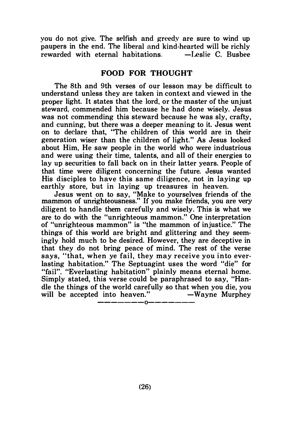vou do not give. The selfish and greedy are sure to wind up paupers in the end. The liberal and kind-hearted will be richly -Leslie C. Bushee rewarded with eternal habitations.

## FOOD FOR THOUGHT

The 8th and 9th verses of our lesson may be difficult to understand unless they are taken in context and viewed in the proper light. It states that the lord, or the master of the unjust steward, commended him because he had done wisely. Jesus was not commending this steward because he was sly, crafty, and cunning, but there was a deeper meaning to it. Jesus went on to declare that, "The children of this world are in their generation wiser than the children of light." As Jesus looked about Him, He saw people in the world who were industrious and were using their time, talents, and all of their energies to lay up securities to fall back on in their latter years. People of that time were diligent concerning the future. Jesus wanted His disciples to have this same diligence, not in laying up earthly store, but in laying up treasures in heaven.

Jesus went on to say, "Make to yourselves friends of the mammon of unrighteousness." If you make friends, you are very diligent to handle them carefully and wisely. This is what we are to do with the "unrighteous mammon." One interpretation of "unrighteous mammon" is "the mammon of injustice." The things of this world are bright and glittering and they seemingly hold much to be desired. However, they are deceptive in that they do not bring peace of mind. The rest of the verse says, "that, when ye fail, they may receive you into everlasting habitation." The Septuagint uses the word "die" for "fail". "Everlasting habitation" plainly means eternal home. Simply stated, this verse could be paraphrased to say, "Handle the things of the world carefully so that when you die, you will be accepted into heaven."  $-Wayne$  Murphey

-------0-------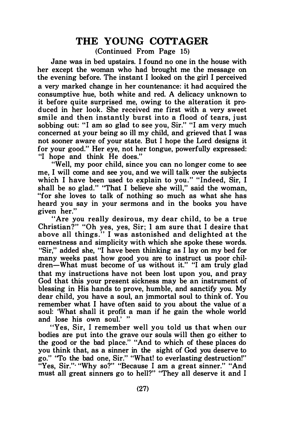# THE YOUNG COTTAGER

(Continued From Page 15)

Jane was in bed upstairs. I found no one in the house with her except the woman who had brought me the message on the evening before. The instant I looked on the girl I perceived a very marked change in her countenance: it had acquired the consumptive hue, both white and red. A delicacy unknown to it before quite surprised me, owing to the alteration it produced in her look. She received me first with a very sweet smile and then instantly burst into a flood of tears, just sobbing out: "I am so glad to see you, Sir." "I am very much concerned at your being so ill my child, and grieved that I was not sooner aware of your state. But I hope the Lord designs it for your good." Her eye, not her tongue, powerfully expressed: "I hope and think He does."

"Well, my poor child, since you can no longer come to see me, I will come and see you, and we will talk over the subjects which I have been used to explain to you." "Indeed, Sir, I shall be so glad." "That I believe she will," said the woman, "for she loves to talk of nothing so much as what she has heard you say in your sermons and in the books you have given her."

"Are you really desirous, my dear child, to be a true Christian?" "Oh yes, yes, Sir; I am sure that I desire that above all things." I was astonished and delighted at the earnestness and simplicity with which she spoke these words. "Sir," added she, "I have been thinking as I lay on my bed for many weeks past how good you are to instruct us poor children-What must become of us without it." "I am truly glad that my instructions have not been lost upon you, and pray God that this your present sickness may be an instrument of blessing in His hands to prove, humble, and sanctify you. My dear child, you have a soul, an jmmortal soul to think of. You remember what I have often said to you about the value of a soul: 'What shall it profit a man if he gain the whole world and lose his own soul.' "

"Yes, Sir, I remember well you told us that when our bodies are put into the grave our souls will then go either to the good or the bad place." "And to which of these places do you think that, as a sinner in the sight of God you deserve to go." "To the bad one, Sir." "What! to everlasting destruction!" "Yes, Sir."· "Why so?" "Because I am a great sinner." "And must all great sinners go to hell?" "They all deserve it and I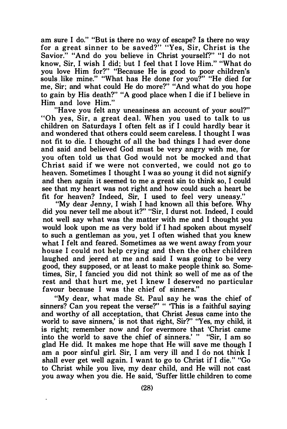am sure I do." "But is there no way of escape? Is there no way for a great sinner to be saved?" "Yes, Sir, Christ is the Savior." "And do you believe in Christ yourself?" "I do not know, Sir, I wish I did; but I feel that I love Him." "What do you love Him for?" "Because He is good to poor children's souls like mine." "What has He done for you?" "He died for me, Sir; and what could He do more?" "And what do you hope to gain by His death?" "A good place when I die if I believe in Him and love Him."

"Have you felt any uneasiness an account of your soul?" "Oh yes, Sir, a great deal. When you used to talk to us children on Saturdays I often felt as if I could hardly bear it and wondered that others could seem careless. I thought I was not fit to die. I thought of all the bad things I had ever done and said and believed God must be very angry with me, for you often told us that God would not be mocked and that Christ said if we were not converted, we could not go to heaven. Sometimes I thought I was so young it did not signify and then again it seemed to me a great sin to think so, I could see that my heart was not right and how could such a heart be fit for heaven? Indeed, Sir, I used to feel very uneasy."

"My dear Jenny, I wish I had known all this before. Why did you never tell me about it?" "Sir, I durst not. Indeed, I could not well say what was the matter with me and I thought you would look upon me as very bold if I had spoken about myself to such a gentleman as you, yet I often wished that you knew what I felt and feared. Sometimes as we went away from your house I could not help crying and then the other children laughed and jeered at me and said I was going to be very good, they supposed, or at least to make people think so. Sometimes, Sir, I fancied you did not think so well of me as of the rest and that hurt me, yet I knew I deserved no particular favour because I was the chief of sinners."

"My dear, what made St. Paul say he was the chief of sinners? Can you repeat the verse?" " 'This is a faithful saying and worthy of all acceptation, that Christ Jesus came into the world to save sinners,' is not that right, Sir?" "Yes, my child, it is right; remember now and for evermore that 'Christ came into the world to save the chief of sinners.' " "Sir, I am so glad He did. It makes me hope that He will save me though I am a poor sinful girl. Sir, I am very ill and I do not think I shall ever get well again. I want to go to Christ if I die." "Go to Christ while you live, my dear child, and He will not cast you away when you die. He said, 'Suffer little children to come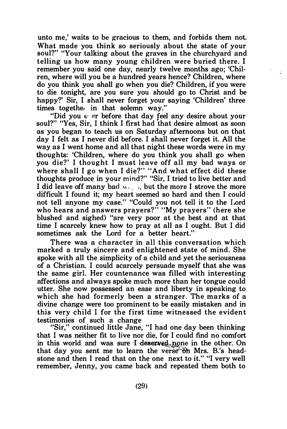unto me,' waits to be gracious to them, and forbids them not. What made you think so seriously about the state of your soul?" "Your talking about the graves in the churchyard and telling us how many young children were buried there. I remember you said one day, nearly twelve months ago; 'Chilren, where will you be a hundred years hence? Children, where do you think you shall go when you die? Children, if you were to die tonight, are you sure you should go to Christ and be happy?' Sir, I shall never forget your saying 'Children' three times togethe<sub>1</sub> in that solemn way."

"Did you e · er before that day feel any desire about your soul?" "Yes, Sir, I think I first had that desire almost as soon as you began to teach us on Saturday afternoons but on that day I felt as I never did before. I shall never forget it. All the way as I went home and all that night these words were in my thoughts: 'Children, where do you think you shall go when you die?' I thought I must leave off all my bad ways or where shall I go when I die?" "And what effect did these thoughts produce in your mind?" "Sir, I tried to live better and I did leave off many bad  $\cdots$ , but the more I strove the more difficult I found it; my heart seemed so hard and then I could not tell anyone my case." "Could you not tell it to the Lord who hears and answers prayers?" "My prayers" (here she blushed and sighed) "are very poor at the best and at that time I scarcely knew how to pray at all as I ought. But I did sometimes ask the Lord for a better heart."

There was a character in all this conversation which marked a truly sincere and enlightened state of mind. She spoke with all the simplicity of a child and yet the seriousness of a Christian. I could scarcely persuade myself that she was the same girl. Her countenance was filled with interesting affections and always spoke much more than her tongue could utter. She now possessed an ease and liberty in speaking to which she had formerly been a stranger. The marks of a divine change were too prominent to be easily mistaken and in this very child I for the first time witnessed the evident testimonies of such a change

"Sir," continued little Jane, "I had one day been thinking that I was neither fit to live nor die, for I could find no comfort in this world and was sure I deserved, none in the other. On that day you sent me to learn the verse  $\mathfrak{F}$  Mrs. B.'s headstone and then I read that on the one next to it." "I very well remember, Jenny, you came back and repeated them both to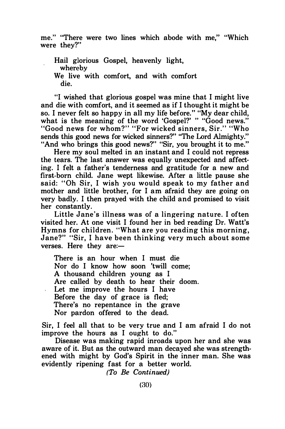me." "There were two lines which abode with me," "Which were they?"

Hail glorious Gospel, heavenly light, whereby We live with comfort, and with comfort die.

"I wished that glorious gospel was mine that I might live and die with comfort, and it seemed as if I thought it might be so. I never felt so happy in all my life before." "My dear child, what is the meaning of the word 'Gospel?' " "Good news." "Good news for whom?" "For wicked sinners, Sir." "Who sends this good news for wicked sinners?" "The Lord Almighty." "And who brings this good news?" "Sir, you brought it to me."

Here my soul melted in an instant and I could not repress the tears. The last answer was equally unexpected and affecting. I felt a father's tenderness and gratitude for a new and first-born child. Jane wept likewise. After a little pause she said: " Oh Sir, I wish you would speak to my father and mother and little brother, for I am afraid they are going on very badly. I then prayed with the child and promised to visit her constantly.

Little Jane's illness was of a lingering nature. I often visited her. At one visit I found her in bed reading Dr. Watt's Hymns for children. "What are you reading this morning, Jane?" "Sir, I have been thinking very much about some verses. Here they are:-

There is an hour when I must die Nor do I know how soon 'twill come; A thousand children young as I Are called by death to hear their doom. Let me improve the hours I have Before the day of grace is fled; There's no repentance in the grave Nor pardon offered to the dead.

Sir, I feel all that to be very true and I am afraid I do not improve the hours as I ought to do."

Disease was making rapid inroads upon her and she was aware of it. But as the outward man decayed she was strengthened with might by God's Spirit in the inner man. She was evidently ripening fast for a better world.

(To Be Continued)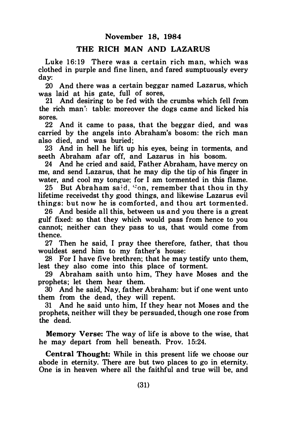## THE RICH MAN AND LAZARUS

Luke 16:19 There was a certain rich man, which was clothed in purple and fine linen, and fared sumptuously every day:

20 And there was a certain beggar named Lazarus, which was laid at his gate, full of sores,

21 And desiring to be fed with the crumbs which fell from the rich man': table: moreover the dogs came and licked his sores.

22 And it came to pass, that the beggar died, and was carried by the angels into Abraham's bosom: the rich man also died, and was buried;

23 And in hell he lift up his eyes, being in torments, and seeth Abraham afar off, and Lazarus in his bosom.

24 And he cried and said, Father Abraham, have mercy on me, and send Lazarus, that he may dip the tip of his finger in water, and cool my tongue: for I am tormented in this flame.

25 But Abraham said,  $\text{Con}$ , remember that thou in thy lifetime receivedst thy good things, and likewise Lazarus evil things: but now he is comforted, and thou art tormented.

26 And beside all this, between us and you there is a great gulf fixed: so that they which would pass from hence to you cannot; neither can they pass to us, that would come from thence.

27 Then he said, I pray thee therefore, father, that thou wouldest send him to my father's house:

28 For I have five brethren; that he may testify unto them, lest they also come into this place of torment.

29 Abraham saith unto him, They have Moses and the prophets; let them hear them.

30 And he said, Nay, father Abraham: but if one went unto them from the dead, they will repent.

31 And he said unto him, If they hear not Moses and the prophets, neither will they be persuaded, though one rose from the dead.

Memory Verse: The way of life is above to the wise, that he may depart from hell beneath. Prov. 15:24.

Central Thought: While in this present life we choose our abode in eternity. There are but two places to go in eternity. One is in heaven where all the faithful and true will be, and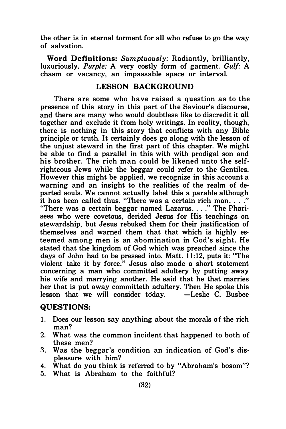the other is in eternal torment for all who refuse to go the way of salvation.

Word Definitions: Sumptuously: Radiantly, brilliantly, luxuriously. Purple: A very costly form of garment. Gulf: A chasm or vacancy, an impassable space or interval.

## LESSON BACKGROUND

There are some who have raised a question as to the presence of this story in this part of the Saviour's discourse, and there are many who would doubtless like to discredit it all together and exclude it from holy writings. In reality, though, there is nothing in this story that conflicts with any Bible principle or truth. It certainly does go along with the lesson of the unjust steward in the first part of this chapter. We might be able to find a parallel in this with with prodigal son and his brother. The rich man could be likened unto the selfrighteous Jews while the beggar could refer to the Gentiles. However this might be applied, we recognize in this account a warning and an insight to the realities of the realm of departed souls. We cannot actually label this a parable although it has been called thus. "There was a certain rich man. . . ." "There was a certain beggar named Lazarus...." The Pharisees who were covetous, derided Jesus for His teachings on stewardship, but Jesus rebuked them for their justification of themselves and warned them that that which is highly esteemed among men is an abomination in God's sight. He stated that the kingdom of God which was preached since the days of John had to be pressed into. Matt. 11:12, puts it: "The violent take it by force." Jesus also made a short statement concerning a man who committed adultery by putting away his wife and marrying another. He said that he that marries her that is put away committeth adultery. Then He spoke this<br>lesson, that we will consider today. - Leslie C. Bushee lesson that we will consider today.

## QUESTIONS:

- 1. Does our lesson say anything about the morals of the rich man?
- 2. What was the common incident that happened to both of these men?
- 3. Was the beggar's condition an indication of God's displeasure with him?
- 4. What do you think is referred to by "Abraham's bosom"?
- 5. What is Abraham to the faithful?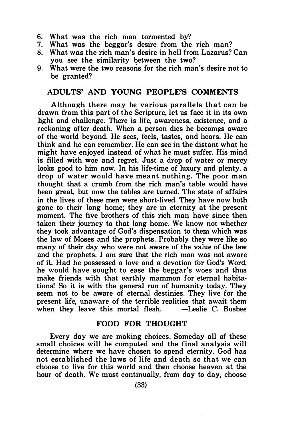- 6. What was the rich man tormented by?<br>7. What was the beggar's desire from the
- What was the beggar's desire from the rich man?
- 8. What was the rich man's desire in hell from Lazarus? Can you see the similarity between the two?
- 9. What were the two reasons for the rich man's desire not to be granted?

## ADULTS' AND YOUNG PEOPLE'S COMMENTS

Although there may be various parallels that can be drawn from this part of the Scripture, let us face it in its own light and challenge. There is life, awareness, existence, and a reckoning after death. When a person dies he becomes aware of the world beyond. He sees, feels, tastes, and hears. He can think and he can remember. He can see in the distant what he might have enjoyed instead of what he must suffer. His mind is filled with woe and regret. Just a drop of water or mercy looks good to him now. In his life-time of luxury and plenty, a drop of water would have meant nothing. The poor man thought that a crumb from the rich man's table would have been great, but now the tables are turned. The state of affairs in the lives of these men were short-lived. They have now both gone to their long home; they are in eternity at the present moment. The five brothers of this rich man have since then taken their journey to that long home. We know not whether they took advantage of God's dispensation to them which was the law of Moses and the prophets. Probably they were like so many of their day who were not aware of the value of the law and the prophets. I am sure that the rich man was not aware of it. Had he possessed a love and a devotion for God's Word, he would have sought to ease the beggar's woes and thus make friends with that earthly mammon for eternal habitations! So it is with the general run of humanity today. They seem not to be aware of eternal destinies. They live for the present life, unaware of the terrible realities that await them when they leave this mortal flesh.

#### FOOD FOR THOUGHT

Every day we are making choices. Someday all of these small choices will be computed and the final analysis will determine where we have chosen to spend eternity. God has not established the laws of life and death so that we can choose to live for this world and then choose heaven at the hour of death. We must continually, from day to day, choose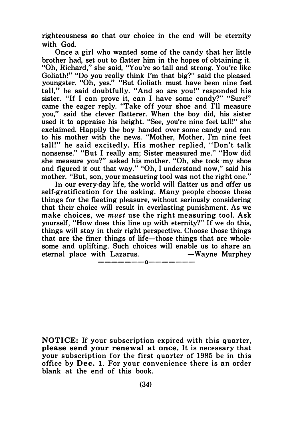righteousness so that our choice in the end will be eternity with God.

Once a girl who wanted some of the candy that her little brother had, set out to flatter him in the hopes of obtaining it. "Oh, Richard," she said, "You're so tall and strong. You're like Goliath!" "Do you really think I'm that big?" said the pleased youngster. "Oh, yes." "But Goliath must have been nine feet tall," he said doubtfully. "And so are you!" responded his sister. "If I can prove it, can I have some candy?" "Sure!" came the eager reply. "Take off your shoe and I'll measure you," said the clever flatterer. When the boy did, his sister used it to appraise his height. "See, you're nine feet tall!" she exclaimed. Happily the boy handed over some candy and ran to his mother with the news. "Mother, Mother, I'm nine feet tall!" he said excitedly. His mother replied, " Don't talk nonsense." "But I really am; Sister measured me." "How did she measure you?" asked his mother. "Oh, she took my shoe and figured it out that way." "Oh, I understand now," said his mother. "But, son, your measuring tool was not the right one."

In our every-day life, the world will flatter us and offer us self-gratification for the asking. Many people choose these things for the fleeting pleasure, without seriously considering that their choice will result in everlasting punishment. As we make choices, we must use the right measuring tool. Ask yourself, "How does this line up with eternity?" If we do this, things will stay in their right perspective. Choose those things that are the finer things of life-those things that are wholesome and uplifting. Such choices will enable us to share an eternal place with Lazarus. — Wavne Murphev eternal place with Lazarus.

-------0-------

**NOTICE:** If your subscription expired with this quarter, please send your renewal at once. It is necessary that your subscription for the first quarter of 1985 be in this office by Dec. 1. For your convenience there is an order blank at the end of this book.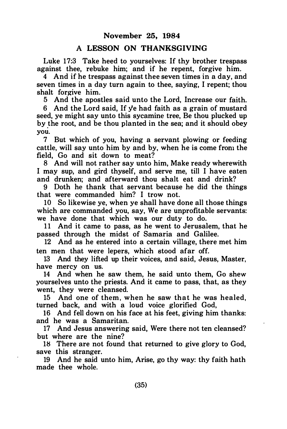## A LESSON ON THANKSGIVING

Luke 17:3 Take heed to yourselves: If thy brother trespass against thee, rebuke him; and if he repent, forgive him.

4 And if he trespass against thee seven times in a day, and seven times in a day turn again to thee, saying, I repent; thou shalt forgive him.

5 And the apostles said unto the Lord, Increase our faith.

6 And the Lord said, If ye had faith as a grain of mustard seed, ye might say unto this sycamine tree, Be thou plucked up by the root, and be thou planted in the sea; and it should obey . you.

7 But which of you, having a servant plowing or feeding cattle, will say unto him by and by, when he is come from the field, Go and sit down to meat?

8 And will not rather say unto him, Make ready wherewith I may sup, and gird thyself, and serve me, till I have eaten and drunken; and afterward thou shalt eat and drink?

9 Doth he thank that servant because he did the things that were commanded him? I trow not.

10 So likewise ye, when ye shall have done all those things which are commanded you, say, We are unprofitable servants: we have done that which was our duty to do.

11 And it came to pass, as he went to Jerusalem, that he passed through the midst of Samaria and Galilee.

12 And as he entered into a certain village, there met him ten men that were lepers, which stood afar off.

13 And they lifted up their voices, and said, Jesus, Master, have mercy on us.

14 And when he saw them, he said unto them, Go shew yourselves unto the priests. And it came to pass, that, as they went, they were cleansed.

15 And one of them, when he saw that he was healed, turned back, and with a loud voice glorified God,

16 And fell down on his face at his feet, giving him thanks: and he was a Samaritan.

17 And Jesus answering said, Were there not ten cleansed? but where are the nine?

18 There are not found that returned to give glory to God, save this stranger.

19 And he said unto him, Arise, go thy way: thy faith hath made thee whole.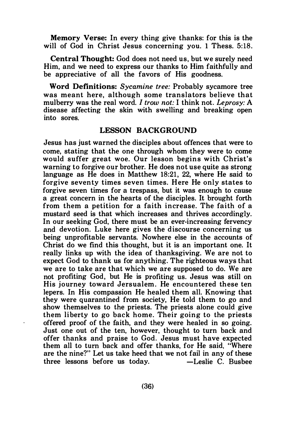Memory Verse: In every thing give thanks: for this is the will of God in Christ Jesus concerning you. 1 Thess. 5:18.

Central Thought: God does not need us, but we surely need Him, and we need to express our thanks to Him faithfully and be appreciative of all the favors of His goodness.

Word Definitions: Sycamine tree: Probably sycamore tree was meant here, although some translators believe that mulberry was the real word. I trow not: I think not. Leprosy: A disease affecting the skin with swelling and breaking open into sores.

#### LESSON BACKGROUND

Jesus has just warned the disciples about offences that were to come, stating that the one through whom they were to come would suffer great woe. Our lesson begins with Christ's warning to forgive our brother. He does not use quite as strong language as He does in Matthew 18:21, 22, where He said to forgive seventy times seven times. Here He only states to forgive seven times for a trespass, but it was enough to cause a great concern in the hearts of the disciples. It brought forth from them a petition for a faith increase. The faith of a mustard seed is that which increases and thrives accordingly. In our seeking God, there must be an ever-increasing fervency and devotion. Luke here gives the discourse concerning us being unprofitable servants. Nowhere else in the accounts of Christ do we find this thought, but it is an important one. It really links up with the idea of thanksgiving. We are not to expect God to thank us for anything. The righteous ways that we are to take are that which we are supposed to do. We are not profiting God, but He is profiting us. Jesus was still on His journey toward Jersualem . He encountered these ten lepers. In His compassion He healed them all. Knowing that they were quarantined from society, He told them to go and show themselves to the priests. The priests alone could give them liberty to go back home. Their going to the priests offered proof of the faith, and they were healed in so going. Just one out of the ten, however, thought to turn back and offer thanks and praise to God. Jesus must have expected them all to turn back and offer thanks, for He said, "Where are the nine?" Let us take heed that we not fail in any of these  $three$  lessons before us today.  $\qquad -$  Leslie C. Busbee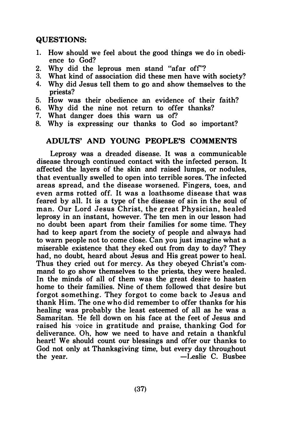## QUESTIONS:

- 1. How should we feel about the good things we do in obedience to God?
- 2. Why did the leprous men stand "afar off"?<br>3. What kind of association did these men have w
- 3. What kind of association did these men have with society?<br>4. Why did Jesus tell them to go and show themselves to the
- Why did Jesus tell them to go and show themselves to the priests?
- 5. How was their obedience an evidence of their faith?
- 6. Why did the nine not return to offer thanks?
- 7. What danger does this warn us of?<br>8. Why is expressing our thanks to Go
- Why is expressing our thanks to God so important?

## ADULTS' AND YOUNG PEOPLE'S COMMENTS

Leprosy was a dreaded disease. It was a communicable disease through continued contact with the infected person. It affected the layers of the skin and raised lumps, or nodules, that eventually swelled to open into terrible sores. The infected areas spread, and the disease worsened. Fingers, toes, and even arms rotted off. It was a loathsome disease that was feared by all. It is a type of the disease of sin in the soul of man. Our Lord Jesus Christ, the great Physician, healed leprosy in an instant, however. The ten men in our lesson had no doubt been apart from their families for some time. They had to keep apart from the society of people and always had to warn people not to come close. Can you just imagine what a miserable existence that they eked out from day to day? They had, no doubt, heard about Jesus and His great power to heal. Thus they cried out for mercy. As they obeyed Christ's command to go show themselves to the priests, they were healed. In the minds of all of them was the great desire to hasten home to their families. Nine of them followed that desire but forgot something. They forgot to come back to Jesus and thank Him. The one who did remember to offer thanks for his healing was probably the least esteemed of all as he was a Samaritan. He fell down on his face at the feet of Jesus and raised his voice in gratitude and praise, thanking God for deliverance. Oh, how we need to have and retain a thankful heart! We should count our blessings and offer our thanks to God not only at Thanksgiving time, but every day throughout the year. - -Leslie C. Busbee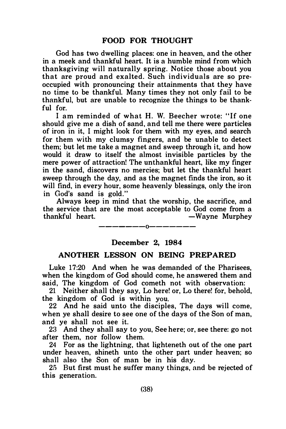God has two dwelling places: one in heaven, and the other in a meek and thankful heart. It is a humble mind from which thanksgiving will naturally spring. Notice those about you that are proud and exalted. Such individuals are so preoccupied with pronouncing their attainments that they have no time to be thankful. Many times they not only fail to be thankful, but are unable to recognize the things to be thankful for.

I am reminded of what H. W. Beecher wrote: " If one should give me a dish of sand, and tell me there were particles of iron in it, I might look for them with my eyes, and search for them with my clumsy fingers, and be unable to detect them; but let me take a magnet and sweep through it, and how would it draw to itself the almost invisible particles by the mere power of attraction! The unthankful heart, like my finger in the sand, discovers no mercies; but let the thankful heart sweep through the day, and as the magnet finds the iron, so it will find, in every hour, some heavenly blessings, only the iron in God's sand is gold."

Always keep in mind that the worship, the sacrifice, and the service that are the most acceptable to God come from a<br>thankful heart. — Wavne Murphev -Wayne Murphey

-------0-------

## December 2, 1984

#### ANOTHER LESSON ON BEING PREPARED

Luke 17:20 And when he was demanded of the Pharisees, when the kingdom of God should come, he answered them and said, The kingdom of God cometh not with observation:

21 Neither shall they say, Lo here! or, Lo there! for, behold, the kingdom of God is within you.

22 And he said unto the disciples, The days will come, when ye shall desire to see one of the days of the Son of man, and ye shall not see it.

23 And they shall say to you, See here; or, see there: go not after them, nor follow them.

24 For as the lightning, that lighteneth out of the one part under heaven, shineth unto the other part under heaven; so shall also the Son of man be in his day.

25 But first must he suffer many things, and be rejected of this generation.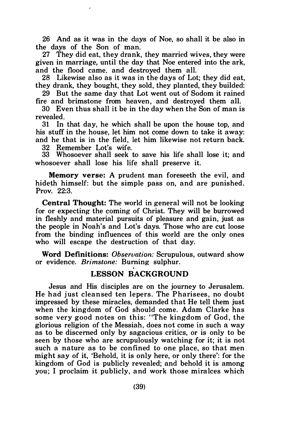26 And as it was in the days of Noe, so shall it be also in the days of the Son of man.

27 They did eat, they drank, they married wives, they were given in marriage, until the day that Noe entered into the ark, and the flood came, and destroyed them all.

28 Likewise also as it was in the days of Lot; they did eat, they drank, they bought, they sold, they planted, they builded:

29 But the same day that Lot went out of Sodom it rained fire and brimstone from heaven, and destroyed them all.

30 Even thus shall it be in the day when the Son of man is revealed.

31 In that day, he which shall be upon the house top, and his stuff in the house, let him not come down to take it away: and he that is in the field, let him likewise not return back.

32 Remember Lot's wife.

33 Whosoever shall seek to save his life shall lose it; and whosoever shall lose his life shall preserve it.

Memory verse: A prudent man foreseeth the evil, and hideth himself: but the simple pass on, and are punished. Prov. 22:3.

Central Thought: The world in general will not be looking for or expecting the coming of Christ. They will be burrowed in fleshly and material pursuits of pleasure and gain, just as the people in Noah's and Lot's days. Those who are cut loose from the binding influences of this world are the only ones who will escape the destruction of that day.

Word Definitions: *Observation:* Scrupulous, outward show or evidence. Brimstone: Burning sulphur.

## LESSON BACKGROUND

Jesus and His disciples are on the journey to Jerusalem. He had just cleansed ten lepers. The Pharisees, no doubt impressed by these miracles, demanded that He tell them just when the kingdom of God should come. Adam Clarke has some very good notes on this: "The kingdom of God, the glorious religion of the Messiah, does not come in such a way as to be discerned only by sagacious critics, or is only to be seen by those who are scrupulously watching for it; it is not such a nature as to be confined to one place, so that men might say of it, 'Behold, it is only here, or only there': for the kingdom of God is publicly revealed; and behold it is among you; I proclaim it publicly, a nd work those miralces which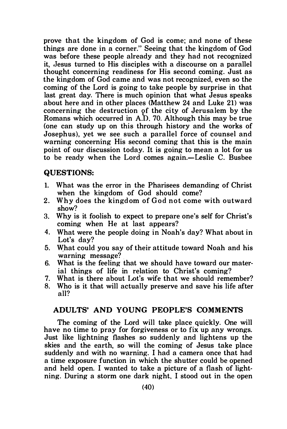prove that the kingdom of God is come; and none of these things are done in a corner." Seeing that the kingdom of God was before these people already and they had not recognized it, Jesus turned to His disciples with a discourse on a parallel thought concerning readiness for His second coming. Just as the kingdom of God came and was not recognized, even so the coming of the Lord is going to take people by surprise in that last great day. There is much opinion that what Jesus speaks about here and in other places (Matthew 24 and Luke 21) was concerning the destruction of the city of Jerusalem by the Romans which occurred in  $A.D.$  70. Although this may be true (one can study up on this through history and the works of Josephus), yet we see such a parallel force of counsel and warning concerning His second coming that this is the main point of our discussion today. It is going to mean a lot for us to be ready when the Lord comes again.-Leslie C. Busbee

## QUESTIONS:

- 1. What was the error in the Pharisees demanding of Christ when the kingdom of God should come?
- 2. Why does the kingdom of God not come with outward show?
- 3. Why is it foolish to expect to prepare one's self for Christ's coming when He at last appears?
- 4. What were the people doing in Noah's day? What about in Lot's day?
- 5. What could you say of their attitude toward Noah and his warning message?
- 6. What is the feeling that we should have toward our material things of life in relation to Christ's coming?
- 7. What is there about Lot's wife that we should remember?<br>8. Who is it that will actually preserve and save his life after
- 8. Who is it that will actually preserve and save his life after all?

## ADULTS' AND YOUNG PEOPLE'S COMMENTS

The coming of the Lord will take place quickly. One will have no time to pray for forgiveness or to fix up any wrongs. Just like lightning flashes so suddenly and lightens up the skies and the earth, so will the coming of Jesus take place suddenly and with no warning. I had a camera once that had a time exposure function in which the shutter could be opened and held open. I wanted to take a picture of a flash of lightning. During a storm one dark night. I stood out in the open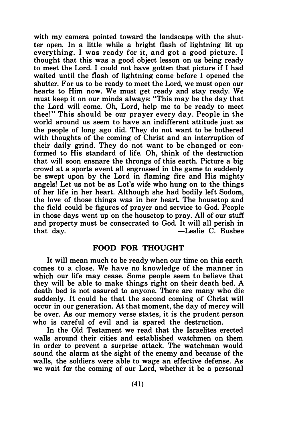with my camera pointed toward the landscape with the shutter open. In a little while a bright flash of lightning lit up everything. I was ready for it, and got a good picture. I thought that this was a good object lesson on us being ready to meet the Lord. I could not have gotten that picture if I had waited until the flash of lightning came before I opened the shutter. For us to be ready to meet the Lord, we must open our hearts to Him now. We must get ready and stay ready. We must keep it on our minds always: "This may be the day that the Lord will come. Oh, Lord, help me to be ready to meet thee!" This should be our prayer every day. People in the world around us seem to have an indifferent attitude just as the people of long ago did. They do not want to be bothered with thoughts of the coming of Christ and an interruption of their daily grind. They do not want to be changed or conformed to His standard of life. Oh, think of the destruction that will soon ensnare the throngs of this earth. Picture a big crowd at a sports event all engrossed in the game to suddenly be swept upon by the Lord in flaming fire and His mighty angels! Let us not be as Lot's wife who hung on to the things of her life in her heart. Although she had bodily left Sodom, the love of those things was in her heart. The housetop and the field could be figures of prayer and service to God. People in those days went up on the housetop to pray. All of our stuff and property must be consecrated to God. It will all perish in that day. - Leslie C. Busbee

#### FOOD FOR THOUGHT

It will mean much to be ready when our time on this earth comes to a close. We have no knowledge of the manner in which our life may cease. Some people seem to believe that they will be able to make things right on their death bed. A death bed is not assured to anyone. There are many who die suddenly. It could be that the second coming of Christ will occur in our generation. At that moment, the day of mercy will be over. As our memory verse states, it is the prudent person who is careful of evil and is spared the destruction.

In the Old Testament we read that the Israelites erected walls around their cities and established watchmen on them in order to prevent a surprise attack. The watchman would sound the alarm at the sight of the enemy and because of the walls, the soldiers were able to wage an effective defense. As we wait for the coming of our Lord, whether it be a personal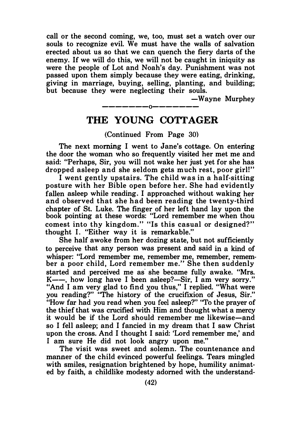call or the second coming, we, too, must set a watch over our souls to recognize evil. We must have the walls of salvation erected about us so that we can quench the fiery darts of the enemy. If we will do this, we will not be caught in iniquity as were the people of Lot and Noah's day. Punishment was not passed upon them simply because they were eating, drinking, giving in marriage, buying, selling, planting, and building; but because they were neglecting their souls.

-Wayne Murphey

# -------0------- THE YOUNG COTTAGER

## (Continued From Page 30)

The next morning I went to Jane's cottage. On entering the door the woman who so frequently visited her met me and said: "Perhaps, Sir, you will not wake her just yet for she has dropped asleep and she seldom gets m uch rest, poor girl!"

I went gently upstairs. The child was in a half-sitting posture with her Bible open before her. She had evidently fallen asleep while reading. I approached without waking her and observed that she had been reading the twenty-third chapter of St. Luke. The finger of her left hand lay upon the book pointing at these words: "Lord remember me when thou comest into thy kingdom." "Is this casual or designed?" thought I. "Either way it is remarkable."

She half awoke from her dozing state, but not sufficiently to perceive that any person was present and said in a kind of whisper: "Lord remember me, remember me, remember, remember a poor child, Lord remember me." She then suddenly started and perceived me as she became fully awake. "Mrs.  $K$ ——, how long have I been asleep?—Sir, I am very sorry." "And I am very glad to find you thus," I replied. "What were you reading?" "The history of the crucifixion of Jesus, Sir." "How far had you read when you feel asleep?" "To the prayer of the thief that was crucified with Him and thought what a mercy it would be if the Lord should remember me likewise-and so I fell asleep; and I fancied in my dream that I saw Christ upon the cross. And I thought I said: 'Lord remember me,' and I am sure He did not look angry upon me."

The visit was sweet and solemn. The countenance and manner of the child evinced powerful feelings. Tears mingled with smiles, resignation brightened by hope, humility animated by faith, a childlike modesty adorned with the understand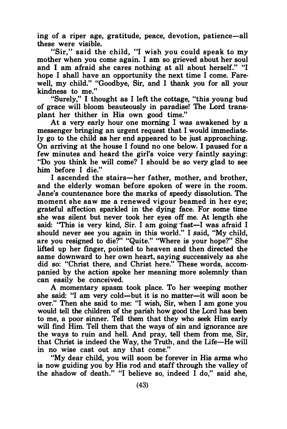ing of a riper age, gratitude, peace, devotion, patience-all these were visible.

"Sir," said the child, "I wish you could speak to my mother when you come again. I am so grieved about her soul and I am afraid she cares nothing at all about herself." "I hope I shall have an opportunity the next time I come. Farewell, my child." "Goodbye, Sir, and I thank you for all your kindness to me."

"Surely," I thought as I left the cottage, "this young bud of grace will bloom beauteously in paradise! The Lord transplant her thither in His own good time."

At a very early hour one morning I was awakened by a messenger bringing an urgent request that I would immediately go to the child as her end appeared to be just approaching. On arriving at the house I found no one below. I paused for a few minutes and heard the girl's voice very faintly saying: "Do you think he will come? I should be so very glad to see him before I die."

I ascended the stairs-her father, mother, and brother, and the elderly woman before spoken of were in the room. Jane's countenance bore the marks of speedy dissolution. The moment she saw me a renewed vigour beamed in her eye; grateful affection sparkled in the dying face. For some time she was silent but never took her eyes off me. At length she said: "This is very kind, Sir. I am going fast—I was afraid I should never see you again in this world." I said, "My child, are you resigned to die?" "Quite." "Where is your hope?" She lifted up her fmger, pointed to heaven and then directed the same downward to her own heart, saying successively as she did so: "Christ there, and Christ here." These words, accompanied by the action spoke her meaning more solemnly than can easily be conceived.

A momentary spasm took place. To her weeping mother she said: "I am very cold-but it is no matter-it will soon be over." Then she said to me: "I wish, Sir, when I am gone you would tell the children of the parish how good the Lord has been to me, a poor sinner. Tell them that they who seek Him early will find Him. Tell them that the ways of sin and ignorance are the ways to ruin and hell. And pray, tell them from me, Sir, that Christ is indeed the Way, the Truth, and the Life-He will in no wise cast out any that come."

"My dear child, you will soon be forever in His arms who is now guiding you by His rod and staff through the valley of the shadow of death." "I believe so, indeed I do," said she,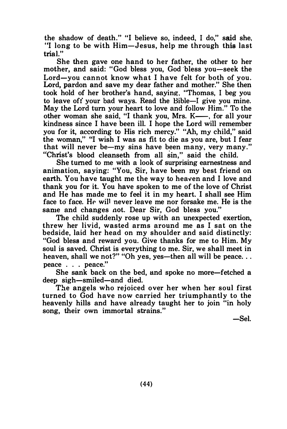the shadow of death." "I believe so, indeed, I do," said she, "I long to be with Him-Jesus, help me through this last trial"

She then gave one hand to her father, the other to her mother, and said: "God bless you, God bless you-seek the Lord-you cannot know what I have felt for both of you. Lord, pardon and save my dear father and mother." She then took hold of her brother's hand, saying, "Thomas, I beg you to leave off your bad ways. Read the Bible-1 give you mine. May the Lord tum your heart to love and follow Him." To the other woman she said, "I thank you, Mrs. K-, for all your kindness since I have been ill. I hope the Lord will remember you for it, according to His rich mercy." "Ah, my child," said the woman," "I wish I was as fit to die as you are, but I fear that will never be-my sins have been many, very many." "Christ's blood cleanseth from all sin," said the child.

She turned to me with a look of surprising earnestness and animation, saying: "You, Sir, have been my best friend on earth. You have taught me the way to heaven and I love and thank you for it. You have spoken to me of the love of Christ and He has made me to feel it in my heart. I shall see Him face to face. He will never leave me nor forsake me. He is the same and changes aot. Dear Sir, God bless you."

The child suddenly rose up with an unexpected exertion, threw her livid, wasted arms around me as I sat on the bedside, laid her head on my shoulder and said distinctly: "God bless and reward you. Give thanks for me to Him. My soul is saved. Christ is everything to me. Sir, we shall meet in heaven, shall we not?" "Oh yes, yes-then all will be peace... peace ... peace."

She sank back on the bed, and spoke no more-fetched a deep sigh-smiled-and died.

The angels who rejoiced over her when her soul first turned to God have now carried her triumphantly to the heavenly hills and have already taught her to join "in holy song, their own immortal strains."

-Sel.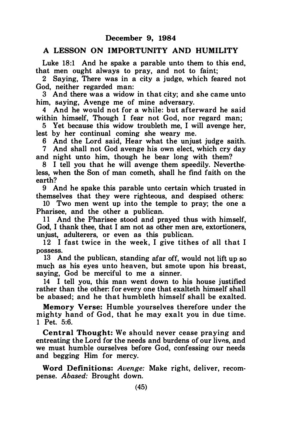#### A LESSON ON IMPORTUNITY AND HUMILITY

Luke 18:1 And he spake a parable unto them to this end. that men ought always to pray, and not to faint;

2 Saying, There was in a city a judge, which feared not God, neither regarded man:

3 And there was a widow in that city; and she came unto him, saving, Avenge me of mine adversary.

4 And he would not for a while: but afterward he said within himself. Though I fear not God, nor regard man:

5 Yet because this widow troubleth me, I will avenge her, lest by her continual coming she weary me.

6 And the Lord said, Hear what the unjust judge saith.

7 And shall not God avenge his own elect, which cry day and night unto him, though he bear long with them?

8 I tell you that he will avenge them speedily. Neverthe· less, when the Son of man cometh, shall he find faith on the earth?

9 And he spake this parable unto certain which trusted in themselves that they were righteous, and despised others:

10 Two men went up into the temple to pray; the one a Pharisee, and the other a publican.

11 And the Pharisee stood and prayed thus with himself, God, I thank thee, that I am not as other men are, extortioners, unjust, adulterers, or even as this publican.

12 I fast twice in the week, I give tithes of all that I possess.

13 And the publican, standing afar off, would not lift up so much as his eyes unto heaven, but smote upon his breast, saying, God be merciful to me a sinner.

14 I tell you, this man went down to his house justified rather than the other: for every one that exalteth himself shall be abased; and he that humbleth himself shall be exalted.

Memory Verse: Humble yourselves therefore under the mighty hand of God, that he may exalt you in due time. 1 Pet. 5:6.

Central Thought: We should never cease praying and entreating the Lord for the needs and burdens of our liw�s. and we must humble ourselves before God, confessing our needs and begging Him for mercy.

Word Definitions: Avenge: Make right, deliver, recompense. Abased: Brought down.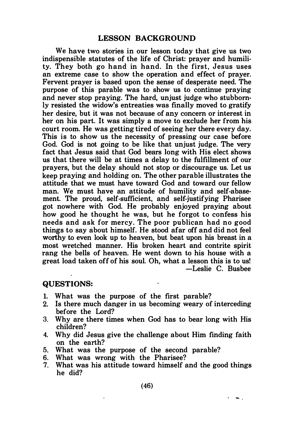## LESSON BACKGROUND

We have two stories in our lesson today that give us two indispensible statutes of the life of Christ: prayer and humility. They both go hand in hand. In the first, Jesus uses an extreme case to show the operation and effect of prayer. Fervent prayer is based upon the sense of desperate need. The purpose of this parable was to show us to continue praying and never stop praying. The hard, unjust judge who stubbornly resisted the widow's entreaties was finally moved to gratify her desire, but it was not because of any concern or interest in her on his part. It was simply a move to exclude her from his court room. He was getting tired of seeing her there every day. This is to show us the necessity of pressing our case before God. God is not going to be like that unjust judge. The very fact that Jesus said that God bears long with His elect shows us that there will be at times a delay to the fulfillment of our prayers, but the delay should not stop or discourage us. Let us keep praying and holding on. The other parable illustrates the attitude that we must have toward God and toward our fellow man. We must have an attitude of humility and self-abasement. The proud, self-sufficient, and self-justifying Pharisee got nowhere with God. He probably enjoyed praying about how good he thought he was, but he forgot to confess his needs and ask for mercy. The poor publican had no good things to say about himself. He stood afar off and did not feel worthy to even look up to heaven, but beat upon his breast in a most wretched manner. His broken heart and contrite spirit rang the bells of heaven. He went down to his house with a great load taken off of his soul. Oh, what a lesson this is to us! -Leslie C. Busbee

#### QUESTIONS:

- 1. What was the purpose of the first parable?
- 2. Is there much danger in us becoming weary of interceding before the Lord?
- 3. Why are there times when God has to bear long with His children?
- 4. Why did Jesus give the challenge about Him finding faith on the earth?
- 5. What was the purpose of the second parable?
- 6. What was wrong with the Pharisee?
- 7. What was his attitude toward himself and the good things he did?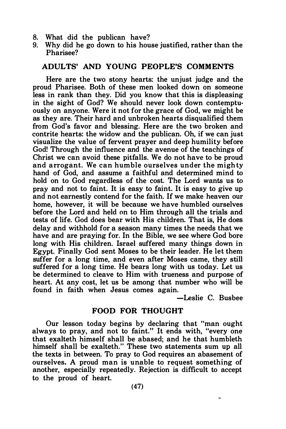- 8. What did the publican have?<br>9. Why did be go down to his hour
- Why did he go down to his house justified, rather than the Pharisee?

## ADULTS' AND YOUNG PEOPLE'S COMMENTS

Here are the two stony hearts: the unjust judge and the proud Pharisee. Both of these men looked down on someone less in rank than they. Did you know that this is displeasing in the sight of God? We should never look down contemptuously on anyone. Were it not for the grace of God, we might be as they are. Their hard and unbroken hearts disqualified them from God's favor and blessing. Here are the two broken and contrite hearts: the widow and the publican. Oh, if we can just visualize the value of fervent prayer and deep humility before God! Through the influence and the avenue of the teachings of Christ we can avoid these pitfalls. We do not have to be proud and a rrogant. We can humble ourselves under the migh ty hand of God, and assume a faithful and determined mind to hold on to God regardless of the cost. The Lord wants us to pray and not to faint. It is easy to faint. It is easy to give up and not earnestly contend for the faith. If we make heaven our home, however, it will be because we have humbled ourselves before the Lord and held on to Him through all the trials and tests of life. God does bear with His children. That is, He does delay and withhold for a season many times the needs that we have and are praying for. In the Bible, we see where God bore long with His children. Israel suffered many things down in Egypt. Finally God sent Moses to be their leader. He let them suffer for a long time, and even after Moses came, they still suffered for a long time. He bears long with us today. Let us be determined to cleave to Him with trueness and purpose of heart. At any cost, let us be among that number who will be found in faith when Jesus comes again.

-Leslie C. Busbee

## FOOD FOR THOUGHT

Our lesson today begins by declaring that "man ought always to pray, and not to faint." It ends with, "every one that exalteth himself shall be abased; and he that humbleth himself shall be exalteth." These two statements sum up all the texts in between. To pray to God requires an abasement of ourselves. A proud man is unable to request something of another, especially repeatedly. Rejection is difficult to accept to the proud of heart.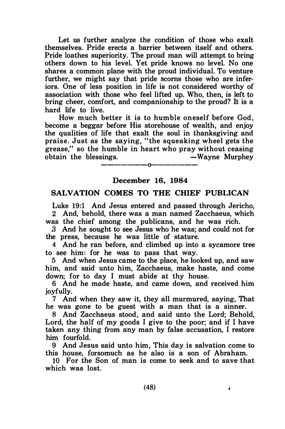Let us further analyze the condition of those who exalt themselves. Pride erects a barrier between itself and others. Pride loathes superiority. The proud man will attempt to bring others down to his level. Yet pride knows no level. No one shares a common plane with the proud individual. To venture further, we might say that pride scorns those who are inferiors. One of less position in life is not considered worthy of association with those who feel lifted up. Who, then, is left to bring cheer, comfort, and companionship to the proud? It is a hard life to live.

How much better it is to humble oneself before God, become a beggar before His storehouse of wealth, and enjoy the qualities of life that exalt the soul in thanksgiving and praise. Just as the saying, " the squeaking wheel gets the grease." so the humble in heart who pray without ceasing obtain the blessings. The Solution of the Murphey

-------0-------

## December 16, 1984

## SALVATION COMES TO THE CHIEF PUBLICAN

Luke 19:1 And Jesus entered and passed through Jericho, 2 And, behold, there was a man named Zacchaeus, which

was the chief among the publicans, and he was rich.

.3 And he sought to see Jesus who he was; and could not for the press, because he was little of stature.

4 And he ran before, and climbed up into a sycamore tree to see him: for he was to pass that way.

5 And when Jesus came to the place, he looked up, and saw him, and said unto him, Zacchaeus, make haste, and come down; for to day I must abide at thy house.

6 And he made haste, and came down, and received him joyfully.

7 And when they saw it, they all murmured, saying, That he was gone to be guest with a man that is a sinner.

8 And Zacchaeus stood, and said unto the Lord; Behold, Lord, the half of my goods I give to the poor; and if I have taken any thing from any man by false accusation, I restore him fourfold.

9 And Jesus said unto him, This day is salvation come to this house, forsomuch as he also is a son of Abraham.

10 For the Son of man is come to seek and to save that which was lost.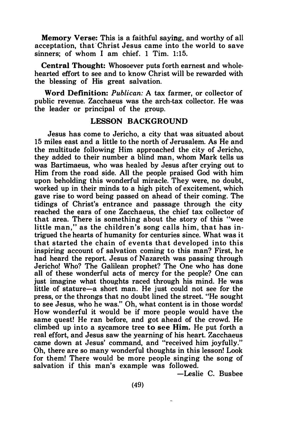Memory Verse: This is a faithful saying, and worthy of all acceptation, that Christ Jesus came into the world to save sinners; of whom I am chief. 1 Tim. 1:15.

Central Thought: Whosoever puts forth earnest and whole· hearted effort to see and to know Christ will be rewarded with the blessing of His great salvation.

Word Definition: Publican: A tax farmer, or collector of public revenue. Zacchaeus was the arch-tax collector. He was the leader or principal of the group.

## LESSON BACKGROUND

Jesus has come to Jericho, a city that was situated about 15 miles east and a little to the north of Jerusalem. As He and the multitude following Him approached the city of Jericho, they added to their number a blind man, whom Mark tells us was Bartimaeus, who was healed by Jesus after crying out to Him from the road side. All the people praised God with him upon beholding this wonderful miracle. They were, no doubt, worked up in their minds to a high pitch of excitement, which gave rise to word being passed on ahead of their coming. The tidings of Christ's entrance and passage through the city reached the ears of one Zacchaeus, the chief tax collector of that area. There is something about the story of this "wee little man," as the children's song calls him, that has intrigued the hearts of humanity for centuries since. What was it that started the chain of events that developed into this inspiring account of salvation coming to this man? First, he had heard the report. Jesus of Nazareth was passing through Jericho! Who? The Galilean prophet? The One who has done all of these wonderful acts of mercy for the people? One can just imagine what thoughts raced through his mind. He was little of stature-a short man. He just could not see for the press, or the throngs that no doubt lined the street. "He sought to see Jesus, who he was." Oh, what content is in those words! How wonderful it would be if more people would have the same quest! He ran before, and got ahead of the crowd. He climbed up into a sycamore tree to see Him. He put forth a real effort, and Jesus saw the yearning of his heart. Zacchaeus came down at Jesus' command, and "received him joyfully." Oh, there are so many wonderful thoughts in this lesson! Look for them! There would be more people singing the song of salvation if this man's example was followed.

-Leslie C. Busbee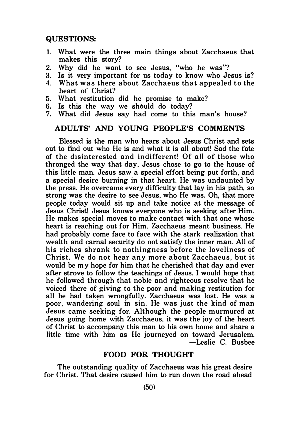## QUESTIONS:

- 1. What were the three main things about Zacchaeus that makes this story?
- 2. Why did he want to see Jesus, "who he was"?
- 3. Is it very important for us today to know who Jesus is?
- 4. What was there about Zacchaeus that appealed to the heart of Christ?
- 5. What restitution did he promise to make?
- 6. Is this the way we should do today?
- 7. What did Jesus say had come to this man's house'!

#### ADULTS' AND YOUNG PEOPLE'S COMMENTS

Blessed is the man who hears about Jesus Christ and sets out to find out who He is and what it is all about! Sad the fate of the disinterested and indifferent! Of all of those who thronged the way that day, Jesus chose to go to the house of this little man. Jesus saw a special effort being put forth, and a special desire burning in that heart. He was undaunted by the press. He overcame every difficulty that lay in his path, so strong was the desire to see Jesus, who He was. Oh, that more people today would sit up and take notice at the message of Jesus Christ! Jesus knows everyone who is seeking after Him. He makes special moves to make contact with that one whose heart is reaching out for Him. Zacchaeus meant business. He had probably come face to face with the stark realization that wealth and carnal security do not satisfy the inner man. All of his riches shrank to nothingness before the loveliness of Christ. We do not hear any more about Zacchaeus, but it would be my hope for him that he cherished that day and ever after strove to follow the teachings of Jesus. I would hope that he followed through that noble and righteous resolve that he voiced there of giving to the poor and making restitution for all he had taken wrongfully. Zacchaeus was lost. He was a poor, wandering soul in sin. He was just the kind of man Jesus came seeking for. Although the people murmured at Jesus going home with Zacchaeus, it was the joy of the heart of Christ to accompany this man to his own home and share a little time with him as He journeyed on toward Jerusalem. -Leslie C. Busbee

## FOOD FOR THOUGHT

The outstanding quality of Zacchaeus was his great desire for Christ. That desire caused him to run down the road ahead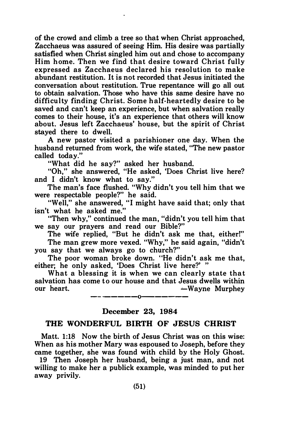of the crowd and climb a tree so that when Christ approached, Zacchaeus was assured of seeing Him. His desire was partially satisfied when Christ singled him out and chose to accompany Him home. Then we find that desire toward Christ fully expressed as Zacchaeus declared his resolution to make abundant restitution. It is not recorded that Jesus initiated the conversation about restitution. True repentance will go all out to obtain salvation. Those who have this same desire have no difficulty finding Christ. Some half-heartedly desire to be saved and can't keep an experience, but when salvation really comes to their house, it's an experience that others will know about. Jesus left Zacchaeus' house, but the spirit of Christ stayed there to dwell.

A new pastor visited a parishioner one day. When the husband returned from work, the wife stated, "The new pastor called today."

"What did he say?" asked her husband.

"Oh," she answered, "He asked, 'Does Christ live here? and I didn't know what to say."

The man's face flushed. "Why didn't you tell him that we were respectable people?" he said.

"Well," she answered, "I might have said that; only that isn't what he asked me."

"Then why," continued the man, "didn't you tell him that we say our prayers and read our Bible?"

The wife replied, "But he didn't ask me that, either!" The man grew more vexed. "Why," he said again, "didn't you say that we always go to church?"

The poor woman broke down. "He didn't ask me that, either; he only asked, 'Does Christ live here?' "

What a blessing it is when we can clearly state that salvation has come to our house and that Jesus dwells within our heart.  $\longrightarrow$ Wayne Murphey

> —-———————————— December 23, 1984

#### THE WONDERFUL BIRTH OF JESUS CHRIST

Matt. 1:18 Now the birth of Jesus Christ was on this wise: When as his mother Mary was espoused to Joseph, before they came together, she was found with child by the Holy Ghost.

19 Then Joseph her husband, being a just man and not willing to make her a publick example, was minded to put her away privily.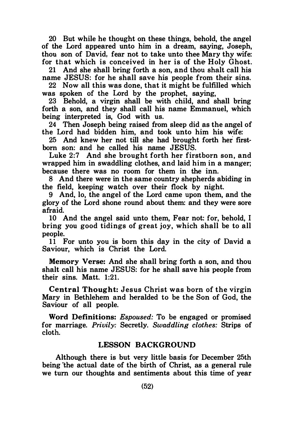20 But while he thought on these things, behold, the angel of the Lord appeared unto him in a dream, saying, Joseph, thou son of David, fear not to take unto thee Mary thy wife: for that which is conceived in her is of the Holy Ghost.

21 And she shall bring forth a son, and thou shalt call his name JESUS: for he shall save his people from their sins.

22 Now all this was done, that it might be fulfilled which was spoken of the Lord by the prophet, saying,

23 Behold, a virgin shall be with child, and shall bring forth a son, and they shall call his name Emmanuel, which being interpreted is, God with us.

24 Then Joseph being raised from sleep did as the angel of the Lord had bidden him, and took unto him his wife:

25 And knew her not till she had brought forth her firstborn son: and he called his name JESUS.

Luke 2:7 And she brought forth her firstborn son, and wrapped him in swaddling clothes, and laid him in a manger; because there was no room for them in the inn.

8 And there were in the same country shepherds abiding in the field, keeping watch over their flock by night.

9 And, lo, the angel of the Lord came upon them, and the glory of the Lord shone round about them: and they were sore afraid.

10 And the angel said unto them, Fear not: for, behold, I bring you good tidings of great joy, which shall be to all people.

11 For unto you is born this day in the city of David a Saviour, which is Christ the Lord.

Memory Verse: And she shall bring forth a son, and thou shalt call his name JESUS: for he shall save his people from their sins. Matt. 1:21.

Central Thought: Jesus Christ was born of the virgin Mary in Bethlehem and heralded to be the Son of God, the Saviour of all people.

Word Definitions: Espoused: To be engaged or promised for marriage. Privily: Secretly. Swaddling clothes: Strips of cloth.

## LESSON BACKGROUND

Although there is but very little basis for December 25th being the actual date of the birth of Christ, as a general rule we turn our thoughts and sentiments about this time of year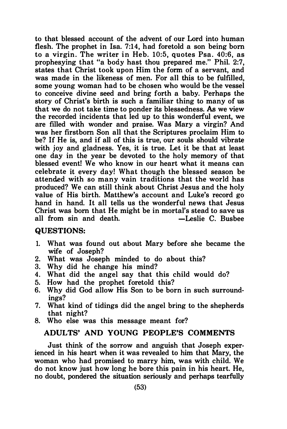to that blessed account of the advent of our Lord into human flesh. The prophet in Isa. 7:14, had foretold a son being born to a virgin. The writer in Heb. 10:5, quotes Psa. 40:6, as prophesying that "a body hast thou prepared me." Phil. 2:7, states that Christ took upon Him the form of a servant, and was made in the likeness of men. For all this to be fulfilled, some young woman had to be chosen who would be the vessel to conceive divine seed and bring forth a baby. Perhaps the story of Christ's birth is such a familiar thing to many of us that we do not take time to ponder its blessedness. As we view the recorded incidents that led up to this wonderful event, we are filled with wonder and praise. Was Mary a virgin? And was her firstborn Son all that the Scriptures proclaim Him to be? If He is, and if all of this is true, our souls should vibrate with joy and gladness. Yes, it is true. Let it be that at least one day in the year be devoted to the holy memory of that blessed event! We who know in our heart what it means can celebrate it every day! What though the blessed season be attended with so many vain traditions that the world has produced? We can still think about Christ Jesus and the holy value of His birth. Matthew's account and Luke's record go hand in hand. It all tells us the wonderful news that Jesus Christ was born that He might be in mortal's stead to save us all from  $sin$  and death.  $-$ Leslie C. Busbee

#### QUESTIONS:

- 1. What was found out about Mary before she became the wife of Joseph?
- 2. What was Joseph minded to do about this?
- 3. Why did he change his mind?
- 4. What did the angel say that this child would do?
- 5. How had the prophet foretold this?
- 6. Why did God allow His Son to be born in such surroundings?
- 7. What kind of tidings did the angel bring to the shepherds that night?
- 8. Who else was this message meant for?

## ADULTS' AND YOUNG PEOPLE'S COMMENTS

Just think of the sorrow and anguish that Joseph experienced in his heart when it was revealed to him that Mary, the woman who had promised to marry him, was with child. We do not know just how long he bore this pain in his heart. He, no doubt, pondered the situation seriously and perhaps tearfully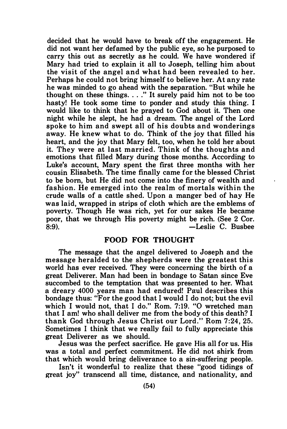decided that he would have to break off the engagement. He did not want her defamed by the public eye, so he purposed to carry this out as secretly as he could. We have wondered if Mary had tried to explain it all to Joseph, telling him about the visit of the angel and what had been revealed to her. Perhaps he could not bring himself to believe her. At any rate he was minded to go ahead with the separation. "But while he thought on these things.  $\ldots$ ." It surely paid him not to be too hasty! He took some time to ponder and study this thing. I would like to think that he prayed to God about it. Then one night while he slept, he had a dream. The angel of the Lord spoke to him and swept all of his doubts and wonderings away. He knew what to do. Think of the joy that filled his heart, and the joy that Mary felt, too, when he told her about it. They were at last married. Think of the thoughts and emotions that filled Mary during those months. According to Luke's account, Mary spent the first three months with her cousin Elisabeth. The time finally came for the blessed Christ to be born, but He did not come into the finery of wealth and fashion. He emerged into the realm of mortals within the crude walls of a cattle shed. Upon a manger bed of hay He was laid, wrapped in strips of cloth which are the emblems of poverty. Though He was rich, yet for our sakes He became poor, that we through His poverty might be rich. (See 2 Cor.<br>8:9). - Leslie C. Busbee 8:9). -Leslie C. Busbee

#### FOOD FOR THOUGHT

The message that the angel delivered to Joseph and the message heralded to the shepherds were the greatest this world has ever received. They were concerning the birth of a great Deliverer. Man had been in bondage to Satan since Eve succombed to the temptation that was presented to her. What a dreary 4000 years man had endured! Paul describes this bondage thus: "For the good that I would I do not; but the evil which I would not, that I do." Rom. 7:19. "O wretched man that I am! who shall deliver me from the body of this death? I thank God through Jesus Christ our Lord." Rom 7:24, 25. Sometimes I think that we really fail to fully appreciate this great Deliverer as we should.

Jesus was the perfect sacrifice. He gave His all for us. His was a total and perfect commitment. He did not shirk from that which would bring deliverance to a sin-suffering people.

Isn't it wonderful to realize that these "good tidings of great joy" transcend all time, distance, and nationality, and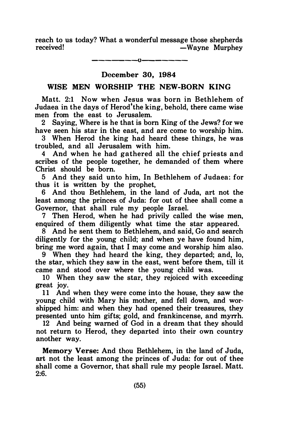reach to us today? What a wonderful message those shepherds received! – Wayne Murphey

$$
\frac{\scriptstyle \qquad \qquad }{\scriptstyle \qquad \qquad }
$$

## December 30, 1984

## WISE MEN WORSHIP THE NEW-BORN KING

Matt. 2:1 Now when Jesus was born in Bethlehem of Judaea in the days of Herod' the king, behold, there came wise men from the east to Jerusalem.

2 Saying, Where is he that is hom King of the Jews? for we have seen his star in the east, and are come to worship him.

3 When Herod the king had heard these things, he was troubled, and all Jerusalem with him.

4 And when he had gathered all the chief priests and scribes of the people together, he demanded of them where Christ should be born.

5 And they said unto him, In Bethlehem of Judaea: for thus it is written by the prophet,

6 And thou Bethlehem, in the land of Juda, art not the least among the princes of Juda: for out of thee shall come a Governor, that shall rule my people Israel.

7 Then Herod, when he had privily called the wise men, enquired of them diligently what time the star appeared.

8 And he sent them to Bethlehem, and said, Go and search diligently for the young child; and when ye have found him, bring me word again, that I may come and worship him also.

9 When they had heard the king, they departed; and, lo, the star, which they saw in the east, went before them, till it came and stood over where the young child was.

10 When they saw the star, they rejoiced with exceeding great joy.

11 And when they were come into the house, they saw the young child with Mary his mother, and fell down, and worshipped him: and when they had opened their treasures, they presented unto him gifts; gold, and frankincense, and myrrh.

12 And being warned of God in a dream that they should not return to Herod, they departed into their own country another way.

Memory Verse: And thou Bethlehem, in the land of Juda, art not the least among the princes of Juda: for out of thee shall come a Governor, that shall rule my people Israel. Matt. 2:6.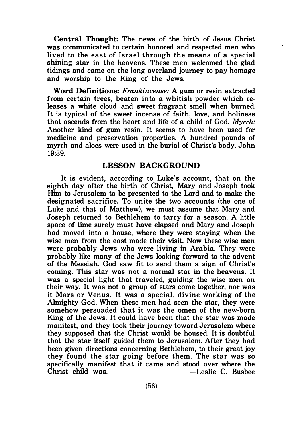Central Thought: The news of the birth of Jesus Christ was communicated to certain honored and respected men who lived to the east of Israel through the means of a special shining star in the heavens. These men welcomed the glad tidings and came on the long overland journey to pay homage and worship to the King of the Jews.

Word Definitions: Frankincense: A gum or resin extracted from certain trees, beaten into a whitish powder which releases a white cloud and sweet fragrant smell when burned. It is typical of the sweet incense of faith, love, and holiness that ascends from the heart and life of a child of God. Myrrh: Another kind of gum resin. It seems to have been used for medicine and preservation properties. A hundred pounds of myrrh and aloes were used in the burial of Christ's body. John 19:39.

## LESSON BACKGROUND

It is evident, according to Luke's account, that on the eighth day after the birth of Christ, Mary and Joseph took Him to Jerusalem to be presented to the Lord and to make the designated sacrifice. To unite the two accounts (the one of Luke and that of Matthew), we must assume that Mary and Joseph returned to Bethlehem to tarry for a season. A little space of time surely must have elapsed and Mary and Joseph had moved into a house, where they were staying when the wise men from the east made their visit. Now these wise men were probably Jews who were living in Arabia. They were probably like many of the Jews looking forward to the advent of the Messiah. God saw fit to send them a sign of Christ's coming. This star was not a normal star in the heavens. It was a special light that traveled, guiding the wise men on their way. It was not a group of stars come together, nor was it Mars or Venus. It was a special , divine working of the Almighty God. When these men had seen the star, they were somehow persuaded that it was the omen of the new-born King of the Jews. It could have been that the star was made manifest, and they took their journey toward Jerusalem where they supposed that the Christ would be housed. It is doubtful that the star itself guided them to Jerusalem. After they had been given directions concerning Bethlehem, to their great joy they found the star going before them. The star was so specifically manifest that it came and stood over where the<br>Christ child was. - Leslie C. Busbee  $-$ Leslie C. Busbee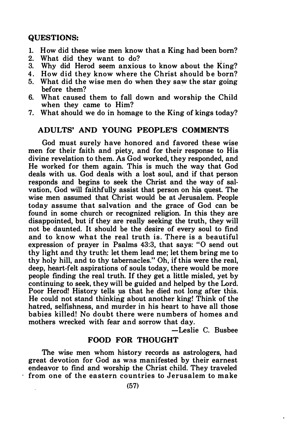#### QUESTIONS:

- 1. How did these wise men know that a King had been born?
- 2. What did they want to do?<br>3. Why did Herod seem anxiou
- Why did Herod seem anxious to know about the King?
- 4. How did they know where the Christ should be born?
- 5. What did the wise men do when they saw the star going , before them?
- 6. What caused them to fall down and worship the Child when they came to Him?
- 7. What should we do in homage to the King of kings today?

## ADULTS' AND YOUNG PEOPLE'S COMMENTS

God must surely have honored and favored these wise men for their faith and piety, and for their response to His divine revelation to them. As God worked, they responded, and He worked for them again. This is much the way that God deals with us. God deals with a lost soul, and if that person responds and begins to seek the Christ and the way of salvation, God will faithfully assist that person on his quest. The wise men assumed that Christ would be at Jerusalem. People today assume that salvation and the grace of God can be found in some church or recognized religion. In this they are disappointed, but if they are really seeking the truth, they will not be daunted. It should be the desire of every soul to find and to know what the real truth is. There is a beautiful expression of prayer in Psalms 43:3, that says: "0 send out thy light and thy truth: let them lead me; let them bring me to thy holy hill, and to thy tabernacles." Oh, if this were the real, deep, heart-felt aspirations of souls today, there would be more people finding the real truth. If they get a little misled, yet by continuing to seek, they will be guided and helped by the Lord. Poor Herod! History tells us that he died not long after this. He could not stand thinking about another king! Think of the hatred, selfishness, and murder in his heart to have all those babies killed! No doubt there were numbers of homes and mothers wrecked with fear and sorrow that day.

-Leslie C. Busbee

## FOOD FOR THOUGHT

The wise men whom history records as astrologers, had great devotion for God as was manifested by their earnest endeavor to find and worship the Christ child. They traveled from one of the eastern countries to Jerusalem to make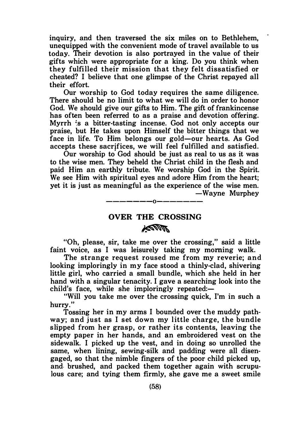inquiry, and then traversed the six miles on to Bethlehem, unequipped with the convenient mode of travel available to us today. Their devotion is also portrayed in the value of their gifts which were appropriate for a king. Do you think when they fulfilled their mission that they felt dissatisfied or cheated? I believe that one glimpse of the Christ repayed all their effort.

Our worship to God today requires the same diligence. There should be no limit to what we will do in order to honor God. We should give our gifts to Him. The gift of frankincense has often been referred to as a praise and devotion offering. Myrrh is a bitter-tasting incense. God not only accepts our praise, but He takes upon Himself the bitter things that we face in life. To Him belongs our gold-our hearts. As God accepts these sacrjfices, we will feel fulfilled and satisfied.

Our worship to God should be just as real to us as it was to the wise men. They beheld the Christ child in the flesh and paid Him an earthly tribute. We worship God in the Spirit. We see Him with spiritual eyes and adore Him from the heart; yet it is just as meaningful as the experience of the wise men. -Wayne Murphey

## OVER THE CROSSING **ANNA**

-------0-------

"Oh, please, sir, take me over the crossing," said a little faint voice, as I was leisurely taking my morning walk.

The strange request roused me from my reverie; and looking imploringly in my face stood a thinly-clad, shivering little girl, who carried a small bundle, which she held in her hand with a singular tenacity. I gave a searching look into the child's face, while she imploringly repeated: $-$ 

"Will you take me over the crossing quick, I'm in such a hurry."

Tossing her in my arms I bounded over the muddy pathway; and just as I set down my little charge, the bundle s lipped from her grasp, or rather its contents, leaving the empty paper in her hands, and an embroidered vest on the sidewalk. I picked up the vest, and in doing so unrolled the same, when lining, sewing-silk and padding were all disengaged, so that the nimble fingers of the poor child picked up, and brushed, and packed them together again with scrupulous care; and tying them firmly, she gave me a sweet smile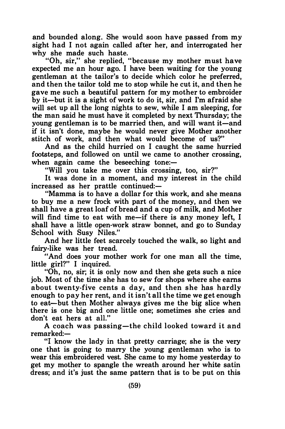and bounded along. She would soon have passed from my sight had I not again called after her, and interrogated her why she made such haste.

"Oh, sir," she replied, "because my mother must have expected me an hour ago. I have been waiting for the young gentleman at the tailor's to decide which color he preferred, and then the tailor told me to stop while he cut it, and then he gave me such a beautiful pattern for my mother to embroider by it-but it is a sight of work to do it, sir, and I'm afraid she will set up all the long nights to sew, while I am sleeping, for the man said he must have it completed by next Thursday; the young gentleman is to be married then, and will want it-and if it isn't done, maybe he would never give Mother another stitch of work, and then what would become of us?"

And as the child hurried on I caught the same hurried footsteps, and followed on until we came to another crossing, when again came the beseeching tone: $-$ 

"Will you take me over this crossing, too, sir?"

It was done in a moment, and my interest in the child increased as her prattle continued:-

"Mamma is to have a dollar for this work, and she means to buy me a new frock with part of the money, and then we shall have a great loaf of bread and a cup of milk, and Mother will find time to eat with me-if there is any money left, I shall have a little open-work straw bonnet, and go to Sunday School with Susy Niles."

And her little feet scarcely touched the walk, so light and fairy-like was her tread.

"And does your mother work for one man all the time, little girl?" I inquired.

"Oh, no, sir; it is only now and then she gets such a nice job. Most of the time she has to sew for shops where she earns about twenty-five cents a day, and then she has hardly enough to pay her rent, and it isn't all the time we get enough to eat-but then Mother always gives me the big slice when there is one big and one little one; sometimes she cries and don't eat hers at all."

A coach was passing-the child looked toward it and remarked:-

"! know the lady in that pretty carriage; she is the very one that is going to marry the young gentleman who is to wear this embroidered vest. She came to my home yesterday to get my mother to spangle the wreath around her white satin dress; and it's just the same pattern that is to be put on this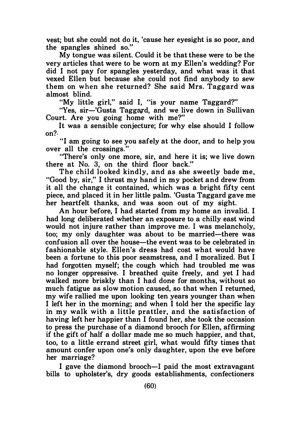vest; but she could not do it, 'cause her eyesight is so poor, and the spangles shined so."

My tongue was silent. Could it be that these were to be the very articles that were to be worn at my Ellen's wedding? For did I not pay for spangles yesterday, and what was it that vexed Ellen but because she could not find anybody to sew them on when she returned? She said Mrs. Taggard was almost blind.

"My little girl," said I, "is your name Taggard?"

"Yes, sir-'Gusta Taggard, and we live down in Sullivan Court. Are you going home with me?"

It was a sensible conjecture; for why else should I follow on?.

"I am going to see you safely at the door, and to help you over all the crossings."

"There's only one more, sir, and here it is; we live down there at No. 3, on the third floor back."

The child looked kindly, and as she sweetly bade me, "Good by, sir," I thrust my hand in my pocket and drew from it all the change it contained. which was a bright fifty cent piece, and placed it in her little palm. 'Gusta Taggard gave me her heartfelt thanks, and was soon out of my sight.

An hour before, I had started from my home an invalid. I had long deliberated whether an exposure to a chilly east wind would not injure rather than improve me. I was melancholy, too; my only daughter was about to be married-there was confusion all over the house-the event was to be celebrated in fashionable style. Ellen's dress had cost what would have been a fortune to this poor seamstress, and I moralized. But I had forgotten myself; the cough which had troubled me was no longer oppressive. I breathed quite freely, and yet I had walked more briskly than I had done for months, without so much fatigue as slow motion caused, so that when I returned, my wife rallied me upon looking ten years younger than when I left her in the morning; and when I told her the specific lay in my walk with a little prattler, and the satisfaction of having left her happier than I found her, she took the occasion to press the purchase of a diamond brooch for Ellen, affirming if the gift of half a dollar made me so much happier, and that, too, to a little errand street girl, what would fifty times that amount confer upon one's only daughter, upon the eve before her marriage?

I gave the diamond brooch—I paid the most extravagant bills to upholster's, dry goods establishments, confectioners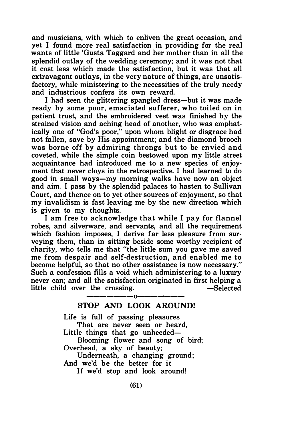and musicians, with which to enliven the great occasion, and yet I found more real satisfaction in providing for the real wants of little 'Gusta Taggard and her mother than in all the splendid outlay of the wedding ceremony; and it was not that it cost less which made the satisfaction, but it was that all extravagant outlays, in the very nature of things, are unsatisfactory, while ministering to the necessities of the truly needy and industrious confers its own reward.

I had seen the glittering spangled dress-but it was made ready by some poor, emaciated sufferer, who toiled on in patient trust, and the embroidered vest was finished by the strained vision and aching head of another, who was emphatically one of "God's poor," upon whom blight or disgrace had not fallen, save by His appointment; and the diamond brooch was borne off by admiring throngs but to be envied and coveted, while the simple coin bestowed upon my little street acquaintance had introduced me to a new species of enjoyment that never cloys in the retrospective. I had learned to do good in small ways-my morning walks have now an object and aim. I pass by the splendid palaces to hasten to Sullivan Court, and thence on to yet other sources of enjoyment, so that my invalidism is fast leaving me by the new direction which is given to my thoughts.

I am free to acknowledge that while I pay for flannel robes, and silverware, and servants, and all the requirement which fashion imposes, I derive far less pleasure from surveying them, than in sitting beside some worthy recipient of charity, who tells me that "the little sum you gave me saved me from despair and self-destruction, and enabled me to become helpful, so that no other assistance is now necessary." Such a confession fills a void which administering to a luxury never can; and all the satisfaction originated in first helping a little child over the crossing. The selected selected

#### —————————————— STOP AND LOOK AROUND!

Life is full of passing pleasures That are never seen or heard, Little things that go unheeded— Blooming flower and song of bird; Overhead, a sky of beauty; Underneath, a changing ground; And we'd be the better for it If we'd stop and look around!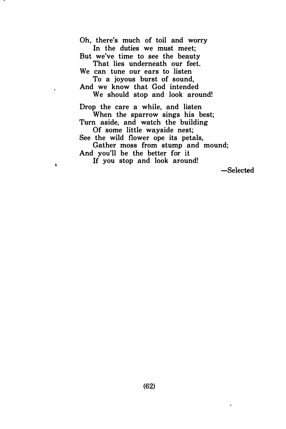Oh, there's much of toil and worry In the duties we must meet; But we've time to see the beauty That lies underneath our feet. We can tune our ears to listen To a joyous burst of sound, And we know that God intended We should stop and look around! Drop the care a while, and listen When the sparrow sings his best; Turn aside, and watch the building Of some little wayside nest; See the wild flower ope its petals, Gather moss from stump and mound;

And you'll be the better for it If you stop and look around!

 $\pmb{\cdot}$ 

-Selected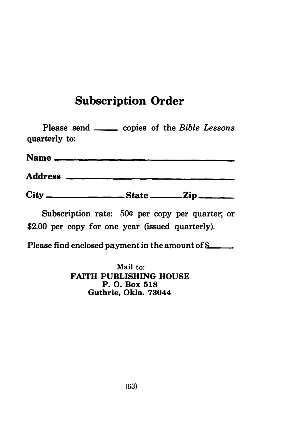# Subscription Order

| Please send _______ copies of the Bible Lessons<br>quarterly to: |  |  |
|------------------------------------------------------------------|--|--|
|                                                                  |  |  |
|                                                                  |  |  |
|                                                                  |  |  |

Subscription rate: 50¢ per copy per quarter; or \$2.00 per copy for one year (issued quarterly).

Please find enclosed payment in the amount of  $\frac{a}{b}$ .

Mail to: FAITH PUBLISHING HOUSE P. 0. Box 518 Guthrie, Okla. 73044